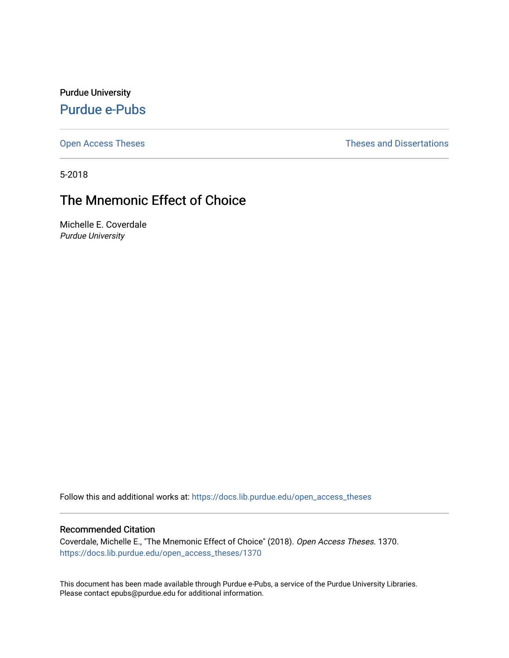Purdue University [Purdue e-Pubs](https://docs.lib.purdue.edu/)

[Open Access Theses](https://docs.lib.purdue.edu/open_access_theses) **Theses Theses Theses** and Dissertations

5-2018

# The Mnemonic Effect of Choice

Michelle E. Coverdale Purdue University

Follow this and additional works at: [https://docs.lib.purdue.edu/open\\_access\\_theses](https://docs.lib.purdue.edu/open_access_theses?utm_source=docs.lib.purdue.edu%2Fopen_access_theses%2F1370&utm_medium=PDF&utm_campaign=PDFCoverPages) 

#### Recommended Citation

Coverdale, Michelle E., "The Mnemonic Effect of Choice" (2018). Open Access Theses. 1370. [https://docs.lib.purdue.edu/open\\_access\\_theses/1370](https://docs.lib.purdue.edu/open_access_theses/1370?utm_source=docs.lib.purdue.edu%2Fopen_access_theses%2F1370&utm_medium=PDF&utm_campaign=PDFCoverPages) 

This document has been made available through Purdue e-Pubs, a service of the Purdue University Libraries. Please contact epubs@purdue.edu for additional information.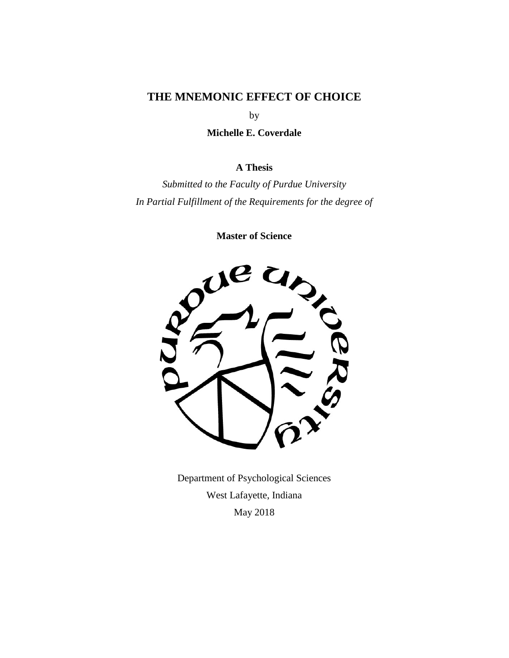### **THE MNEMONIC EFFECT OF CHOICE**

by

**Michelle E. Coverdale** 

### **A Thesis**

*Submitted to the Faculty of Purdue University In Partial Fulfillment of the Requirements for the degree of* 

**Master of Science** 



Department of Psychological Sciences West Lafayette, Indiana May 2018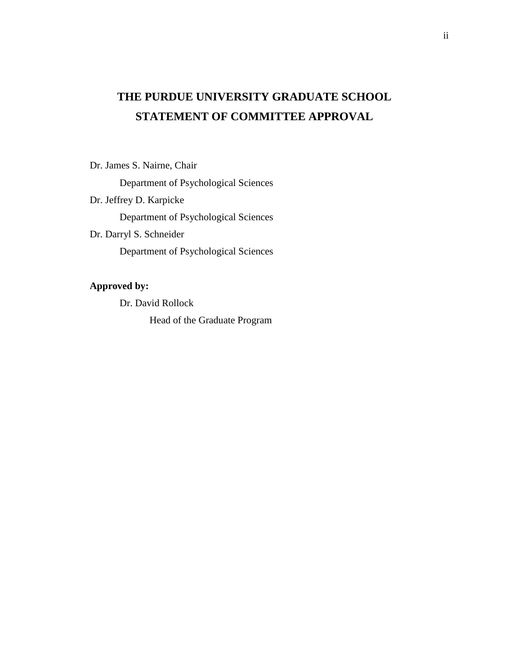# **THE PURDUE UNIVERSITY GRADUATE SCHOOL STATEMENT OF COMMITTEE APPROVAL**

Dr. James S. Nairne, Chair

Department of Psychological Sciences

Dr. Jeffrey D. Karpicke

Department of Psychological Sciences

Dr. Darryl S. Schneider

Department of Psychological Sciences

### **Approved by:**

Dr. David Rollock

Head of the Graduate Program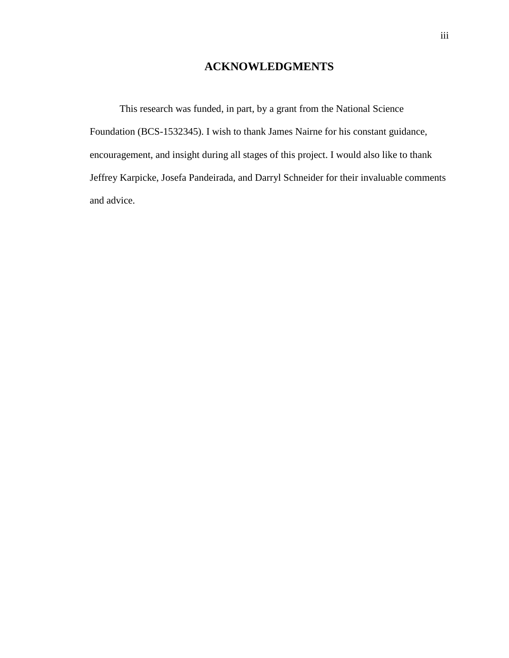### **ACKNOWLEDGMENTS**

 This research was funded, in part, by a grant from the National Science Foundation (BCS-1532345). I wish to thank James Nairne for his constant guidance, encouragement, and insight during all stages of this project. I would also like to thank Jeffrey Karpicke, Josefa Pandeirada, and Darryl Schneider for their invaluable comments and advice.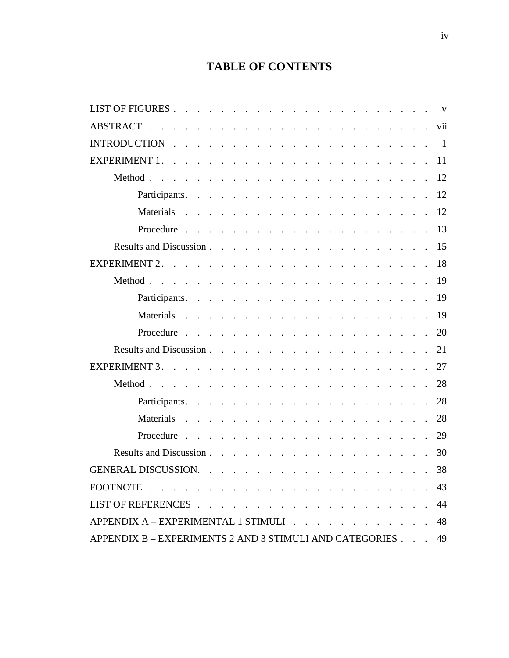## **TABLE OF CONTENTS**

|                                                                                                                                                                                                                                                                        | $\mathbf{V}$   |
|------------------------------------------------------------------------------------------------------------------------------------------------------------------------------------------------------------------------------------------------------------------------|----------------|
| <b>ABSTRACT</b>                                                                                                                                                                                                                                                        | vii            |
| <b>INTRODUCTION</b><br>the contract of the contract of the contract of the contract of the contract of                                                                                                                                                                 | $\overline{1}$ |
| <b>EXPERIMENT 1.</b><br>and the contract of the contract of the contract of the contract of                                                                                                                                                                            | 11             |
| Method.<br>and the contract of the contract of the contract of the contract of the contract of                                                                                                                                                                         | 12             |
| Participants.<br>the contract of the contract of the contract of the contract of the contract of                                                                                                                                                                       | 12             |
|                                                                                                                                                                                                                                                                        | 12             |
| Procedure<br>the contract of the contract of the contract of the contract of the contract of                                                                                                                                                                           | 13             |
| Results and Discussion.<br>and the contract of the contract of the contract of the contract of the contract of the contract of the contract of the contract of the contract of the contract of the contract of the contract of the contract of the contra              | 15             |
|                                                                                                                                                                                                                                                                        | 18             |
|                                                                                                                                                                                                                                                                        | 19             |
|                                                                                                                                                                                                                                                                        | 19             |
| Materials<br>the contract of the contract of the contract of the contract of                                                                                                                                                                                           | 19             |
| Procedure<br>and a series of the contract of the contract of the contract of the contract of the contract of the contract of                                                                                                                                           | 20             |
|                                                                                                                                                                                                                                                                        | 21             |
|                                                                                                                                                                                                                                                                        | 27             |
| Method<br>the contract of the contract of the contract of the contract of the contract of                                                                                                                                                                              | 28             |
| Participants.<br>the contract of the contract of the contract of the contract of the contract of                                                                                                                                                                       | 28             |
| Materials<br>the contract of the contract of the contract of the contract of the                                                                                                                                                                                       | 28             |
| Procedure<br>and the second contract of the second contract of the second contract of the second contract of the second contract of the second contract of the second contract of the second contract of the second contract of the second<br>$\sim$<br>$\mathbb{R}^2$ | 29             |
|                                                                                                                                                                                                                                                                        | 30             |
|                                                                                                                                                                                                                                                                        | 38             |
|                                                                                                                                                                                                                                                                        | 43             |
|                                                                                                                                                                                                                                                                        | 44             |
| $APPENDIX A - EXPERIMENTAL 1 STIMULI$                                                                                                                                                                                                                                  | 48             |
| APPENDIX B – EXPERIMENTS 2 AND 3 STIMULI AND CATEGORIES                                                                                                                                                                                                                | 49             |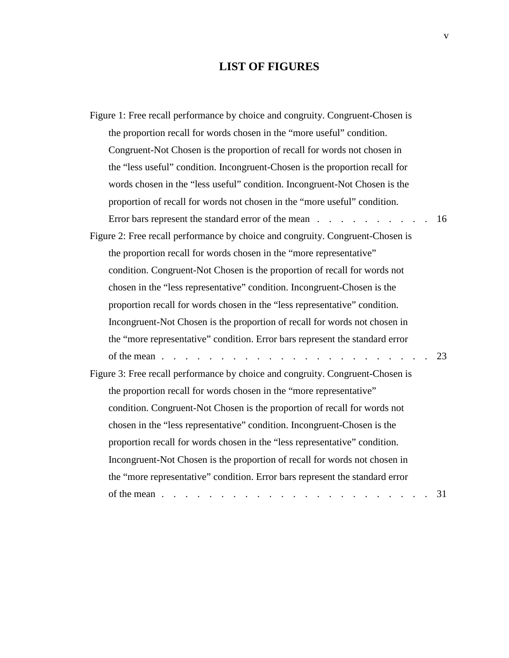## **LIST OF FIGURES**

| Figure 1: Free recall performance by choice and congruity. Congruent-Chosen is                                       |  |  |  |  |
|----------------------------------------------------------------------------------------------------------------------|--|--|--|--|
| the proportion recall for words chosen in the "more useful" condition.                                               |  |  |  |  |
| Congruent-Not Chosen is the proportion of recall for words not chosen in                                             |  |  |  |  |
| the "less useful" condition. Incongruent-Chosen is the proportion recall for                                         |  |  |  |  |
| words chosen in the "less useful" condition. Incongruent-Not Chosen is the                                           |  |  |  |  |
| proportion of recall for words not chosen in the "more useful" condition.                                            |  |  |  |  |
| Error bars represent the standard error of the mean<br>16                                                            |  |  |  |  |
| Figure 2: Free recall performance by choice and congruity. Congruent-Chosen is                                       |  |  |  |  |
| the proportion recall for words chosen in the "more representative"                                                  |  |  |  |  |
| condition. Congruent-Not Chosen is the proportion of recall for words not                                            |  |  |  |  |
| chosen in the "less representative" condition. Incongruent-Chosen is the                                             |  |  |  |  |
| proportion recall for words chosen in the "less representative" condition.                                           |  |  |  |  |
| Incongruent-Not Chosen is the proportion of recall for words not chosen in                                           |  |  |  |  |
| the "more representative" condition. Error bars represent the standard error                                         |  |  |  |  |
|                                                                                                                      |  |  |  |  |
| Figure 3: Free recall performance by choice and congruity. Congruent-Chosen is                                       |  |  |  |  |
| the proportion recall for words chosen in the "more representative"                                                  |  |  |  |  |
| condition. Congruent-Not Chosen is the proportion of recall for words not                                            |  |  |  |  |
| chosen in the "less representative" condition. Incongruent-Chosen is the                                             |  |  |  |  |
| proportion recall for words chosen in the "less representative" condition.                                           |  |  |  |  |
| Incongruent-Not Chosen is the proportion of recall for words not chosen in                                           |  |  |  |  |
| the "more representative" condition. Error bars represent the standard error                                         |  |  |  |  |
| 31<br>of the mean $\ldots$ $\ldots$ $\ldots$ $\ldots$ $\ldots$ $\ldots$ $\ldots$ $\ldots$ $\ldots$ $\ldots$ $\ldots$ |  |  |  |  |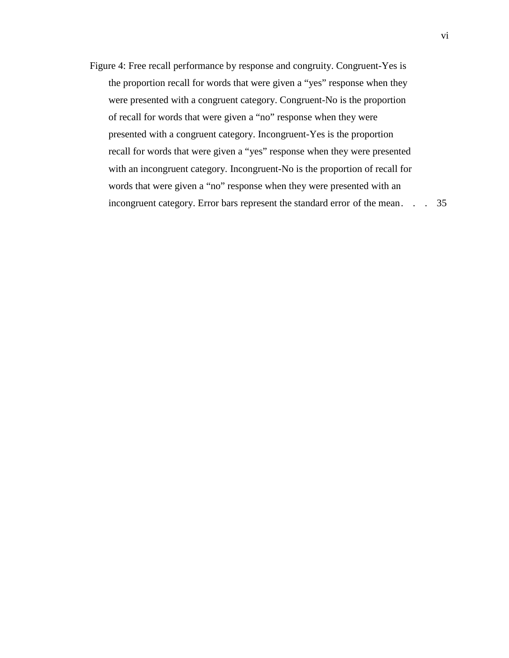Figure 4: Free recall performance by response and congruity. Congruent-Yes is the proportion recall for words that were given a "yes" response when they were presented with a congruent category. Congruent-No is the proportion of recall for words that were given a "no" response when they were of recall for words that were given a "no" response when they were with an incongruent category. Incongruent-No is the proportion of recall for with an incongruent category. Incongruent-No is the proportion of recall for words that were given a "no" response when they were presented with an incongruent category. Error bars represent the standard error of the mean. . . 35 presented with a congruent category. Incongruent-Yes is the proportion recall for words that were given a "yes" response when they were presented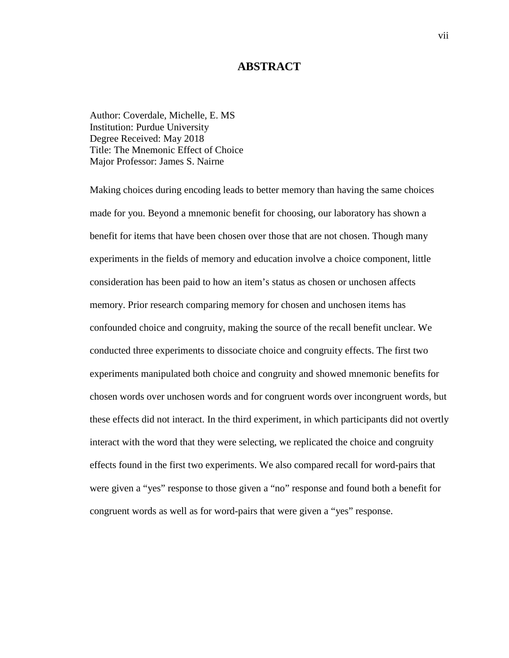#### **ABSTRACT**

 Author: Coverdale, Michelle, E. MS Degree Received: May 2018 Institution: Purdue University Title: The Mnemonic Effect of Choice Major Professor: James S. Nairne

 made for you. Beyond a mnemonic benefit for choosing, our laboratory has shown a memory. Prior research comparing memory for chosen and unchosen items has experiments manipulated both choice and congruity and showed mnemonic benefits for were given a "yes" response to those given a "no" response and found both a benefit for congruent words as well as for word-pairs that were given a "yes" response. Making choices during encoding leads to better memory than having the same choices benefit for items that have been chosen over those that are not chosen. Though many experiments in the fields of memory and education involve a choice component, little consideration has been paid to how an item's status as chosen or unchosen affects confounded choice and congruity, making the source of the recall benefit unclear. We conducted three experiments to dissociate choice and congruity effects. The first two chosen words over unchosen words and for congruent words over incongruent words, but these effects did not interact. In the third experiment, in which participants did not overtly interact with the word that they were selecting, we replicated the choice and congruity effects found in the first two experiments. We also compared recall for word-pairs that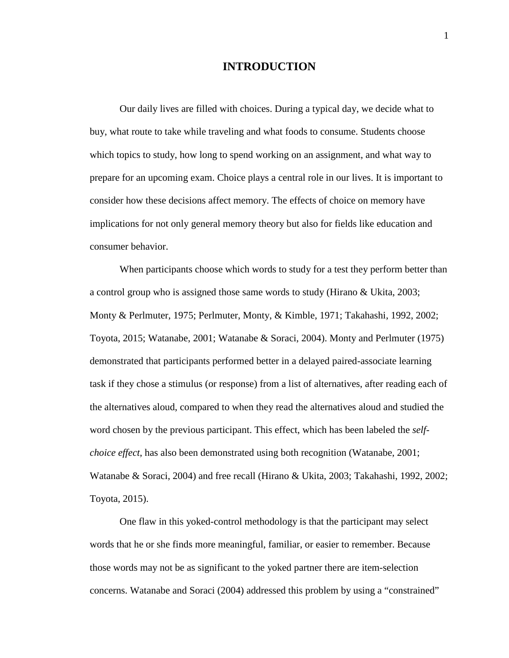#### **INTRODUCTION**

 Our daily lives are filled with choices. During a typical day, we decide what to buy, what route to take while traveling and what foods to consume. Students choose prepare for an upcoming exam. Choice plays a central role in our lives. It is important to consider how these decisions affect memory. The effects of choice on memory have which topics to study, how long to spend working on an assignment, and what way to implications for not only general memory theory but also for fields like education and consumer behavior.

 When participants choose which words to study for a test they perform better than a control group who is assigned those same words to study (Hirano & Ukita, 2003; Toyota, 2015; Watanabe, 2001; Watanabe & Soraci, 2004). Monty and Perlmuter (1975) demonstrated that participants performed better in a delayed paired-associate learning the alternatives aloud, compared to when they read the alternatives aloud and studied the Monty & Perlmuter, 1975; Perlmuter, Monty, & Kimble, 1971; Takahashi, 1992, 2002; task if they chose a stimulus (or response) from a list of alternatives, after reading each of word chosen by the previous participant. This effect, which has been labeled the *selfchoice effect*, has also been demonstrated using both recognition (Watanabe, 2001; Watanabe & Soraci, 2004) and free recall (Hirano & Ukita, 2003; Takahashi, 1992, 2002; Toyota, 2015).

 words that he or she finds more meaningful, familiar, or easier to remember. Because those words may not be as significant to the yoked partner there are item-selection concerns. Watanabe and Soraci (2004) addressed this problem by using a "constrained" One flaw in this yoked-control methodology is that the participant may select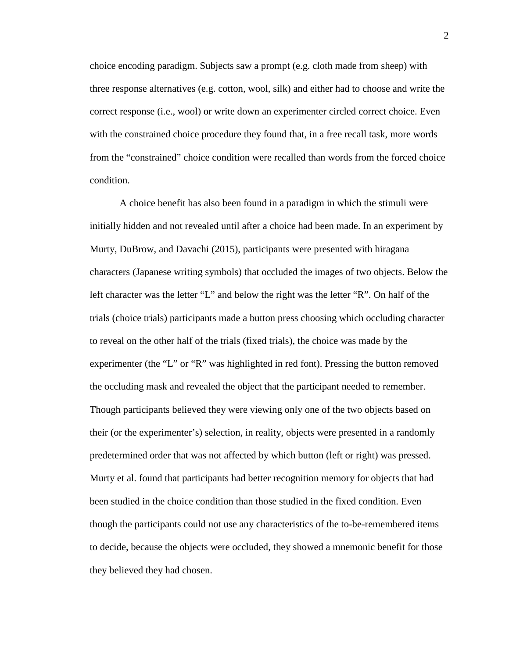choice encoding paradigm. Subjects saw a prompt (e.g. cloth made from sheep) with three response alternatives (e.g. cotton, wool, silk) and either had to choose and write the correct response (i.e., wool) or write down an experimenter circled correct choice. Even with the constrained choice procedure they found that, in a free recall task, more words condition. condition.<br>A choice benefit has also been found in a paradigm in which the stimuli were from the "constrained" choice condition were recalled than words from the forced choice

 Murty, DuBrow, and Davachi (2015), participants were presented with hiragana characters (Japanese writing symbols) that occluded the images of two objects. Below the trials (choice trials) participants made a button press choosing which occluding character experimenter (the "L" or "R" was highlighted in red font). Pressing the button removed the occluding mask and revealed the object that the participant needed to remember. though the participants could not use any characteristics of the to-be-remembered items initially hidden and not revealed until after a choice had been made. In an experiment by left character was the letter "L" and below the right was the letter "R". On half of the to reveal on the other half of the trials (fixed trials), the choice was made by the Though participants believed they were viewing only one of the two objects based on their (or the experimenter's) selection, in reality, objects were presented in a randomly predetermined order that was not affected by which button (left or right) was pressed. Murty et al. found that participants had better recognition memory for objects that had been studied in the choice condition than those studied in the fixed condition. Even to decide, because the objects were occluded, they showed a mnemonic benefit for those they believed they had chosen.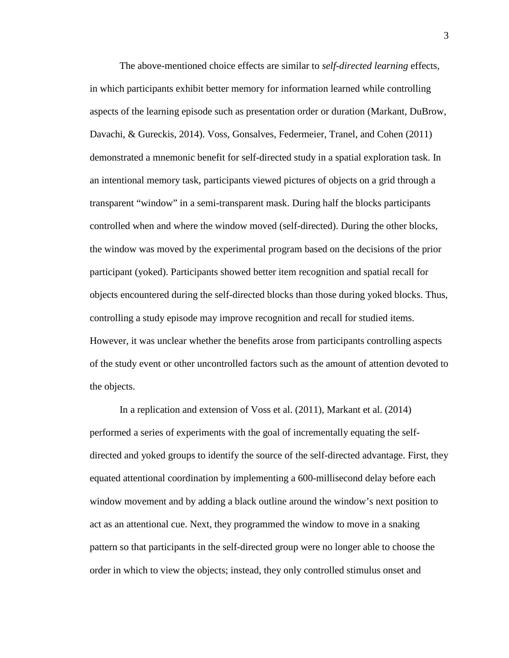The above-mentioned choice effects are similar to *self-directed learning* effects, in which participants exhibit better memory for information learned while controlling Davachi, & Gureckis, 2014). Voss, Gonsalves, Federmeier, Tranel, and Cohen (2011) demonstrated a mnemonic benefit for self-directed study in a spatial exploration task. In controlled when and where the window moved (self-directed). During the other blocks, of the study event or other uncontrolled factors such as the amount of attention devoted to aspects of the learning episode such as presentation order or duration (Markant, DuBrow, an intentional memory task, participants viewed pictures of objects on a grid through a transparent "window" in a semi-transparent mask. During half the blocks participants the window was moved by the experimental program based on the decisions of the prior participant (yoked). Participants showed better item recognition and spatial recall for objects encountered during the self-directed blocks than those during yoked blocks. Thus, controlling a study episode may improve recognition and recall for studied items. However, it was unclear whether the benefits arose from participants controlling aspects the objects.

 performed a series of experiments with the goal of incrementally equating the self- directed and yoked groups to identify the source of the self-directed advantage. First, they window movement and by adding a black outline around the window's next position to act as an attentional cue. Next, they programmed the window to move in a snaking order in which to view the objects; instead, they only controlled stimulus onset and In a replication and extension of Voss et al. (2011), Markant et al. (2014) equated attentional coordination by implementing a 600-millisecond delay before each pattern so that participants in the self-directed group were no longer able to choose the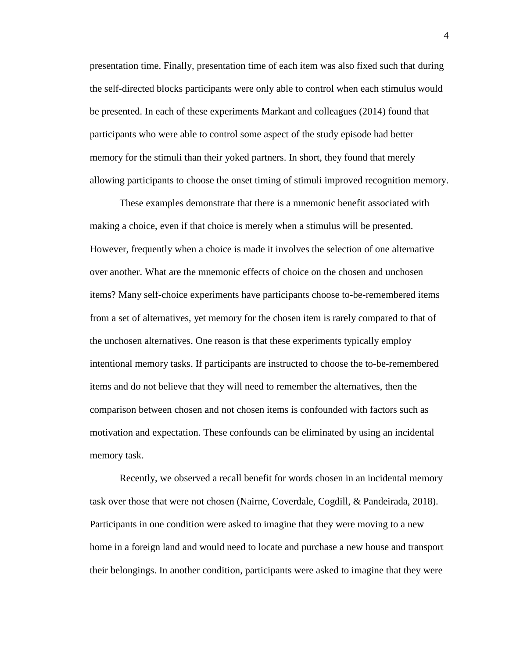be presented. In each of these experiments Markant and colleagues (2014) found that participants who were able to control some aspect of the study episode had better memory for the stimuli than their yoked partners. In short, they found that merely presentation time. Finally, presentation time of each item was also fixed such that during the self-directed blocks participants were only able to control when each stimulus would allowing participants to choose the onset timing of stimuli improved recognition memory.

 making a choice, even if that choice is merely when a stimulus will be presented. However, frequently when a choice is made it involves the selection of one alternative from a set of alternatives, yet memory for the chosen item is rarely compared to that of the unchosen alternatives. One reason is that these experiments typically employ items and do not believe that they will need to remember the alternatives, then the These examples demonstrate that there is a mnemonic benefit associated with over another. What are the mnemonic effects of choice on the chosen and unchosen items? Many self-choice experiments have participants choose to-be-remembered items intentional memory tasks. If participants are instructed to choose the to-be-remembered comparison between chosen and not chosen items is confounded with factors such as motivation and expectation. These confounds can be eliminated by using an incidental memory task.

 Recently, we observed a recall benefit for words chosen in an incidental memory task over those that were not chosen (Nairne, Coverdale, Cogdill, & Pandeirada, 2018). Participants in one condition were asked to imagine that they were moving to a new home in a foreign land and would need to locate and purchase a new house and transport their belongings. In another condition, participants were asked to imagine that they were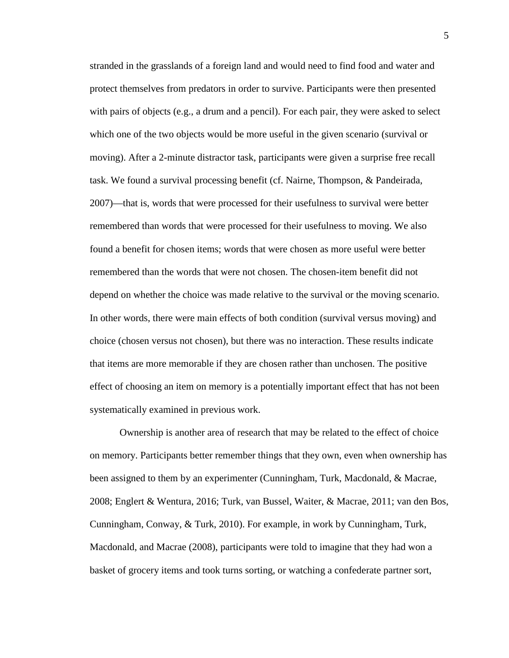remembered than words that were processed for their usefulness to moving. We also remembered than the words that were not chosen. The chosen-item benefit did not systematically examined in previous work. stranded in the grasslands of a foreign land and would need to find food and water and protect themselves from predators in order to survive. Participants were then presented with pairs of objects (e.g., a drum and a pencil). For each pair, they were asked to select which one of the two objects would be more useful in the given scenario (survival or moving). After a 2-minute distractor task, participants were given a surprise free recall task. We found a survival processing benefit (cf. Nairne, Thompson, & Pandeirada, 2007)—that is, words that were processed for their usefulness to survival were better found a benefit for chosen items; words that were chosen as more useful were better depend on whether the choice was made relative to the survival or the moving scenario. In other words, there were main effects of both condition (survival versus moving) and choice (chosen versus not chosen), but there was no interaction. These results indicate that items are more memorable if they are chosen rather than unchosen. The positive effect of choosing an item on memory is a potentially important effect that has not been

Ownership is another area of research that may be related to the effect of choice on memory. Participants better remember things that they own, even when ownership has been assigned to them by an experimenter (Cunningham, Turk, Macdonald, & Macrae, 2008; Englert & Wentura, 2016; Turk, van Bussel, Waiter, & Macrae, 2011; van den Bos, Cunningham, Conway, & Turk, 2010). For example, in work by Cunningham, Turk, Macdonald, and Macrae (2008), participants were told to imagine that they had won a basket of grocery items and took turns sorting, or watching a confederate partner sort,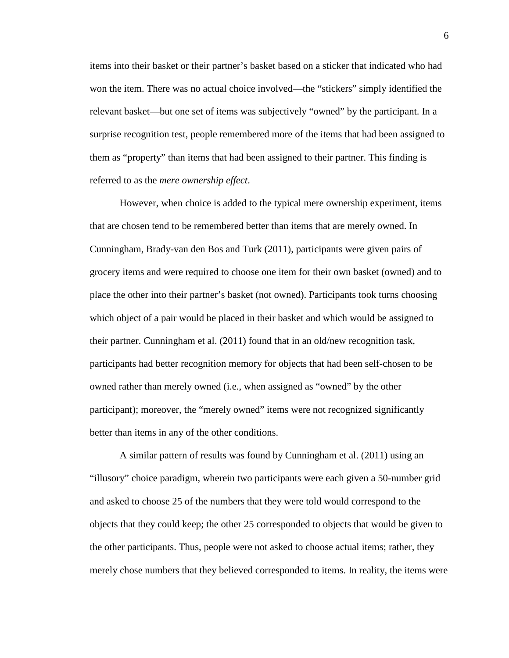won the item. There was no actual choice involved—the "stickers" simply identified the items into their basket or their partner's basket based on a sticker that indicated who had relevant basket—but one set of items was subjectively "owned" by the participant. In a surprise recognition test, people remembered more of the items that had been assigned to them as "property" than items that had been assigned to their partner. This finding is referred to as the *mere ownership effect*.

 owned rather than merely owned (i.e., when assigned as "owned" by the other However, when choice is added to the typical mere ownership experiment, items that are chosen tend to be remembered better than items that are merely owned. In Cunningham, Brady-van den Bos and Turk (2011), participants were given pairs of grocery items and were required to choose one item for their own basket (owned) and to place the other into their partner's basket (not owned). Participants took turns choosing which object of a pair would be placed in their basket and which would be assigned to their partner. Cunningham et al. (2011) found that in an old/new recognition task, participants had better recognition memory for objects that had been self-chosen to be participant); moreover, the "merely owned" items were not recognized significantly better than items in any of the other conditions.

 "illusory" choice paradigm, wherein two participants were each given a 50-number grid the other participants. Thus, people were not asked to choose actual items; rather, they A similar pattern of results was found by Cunningham et al. (2011) using an and asked to choose 25 of the numbers that they were told would correspond to the objects that they could keep; the other 25 corresponded to objects that would be given to merely chose numbers that they believed corresponded to items. In reality, the items were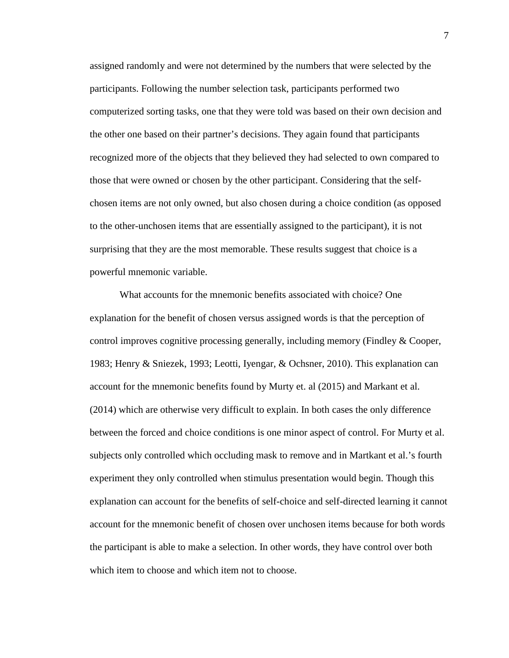chosen items are not only owned, but also chosen during a choice condition (as opposed surprising that they are the most memorable. These results suggest that choice is a assigned randomly and were not determined by the numbers that were selected by the participants. Following the number selection task, participants performed two computerized sorting tasks, one that they were told was based on their own decision and the other one based on their partner's decisions. They again found that participants recognized more of the objects that they believed they had selected to own compared to those that were owned or chosen by the other participant. Considering that the selfto the other-unchosen items that are essentially assigned to the participant), it is not powerful mnemonic variable.

 control improves cognitive processing generally, including memory (Findley & Cooper, 1983; Henry & Sniezek, 1993; Leotti, Iyengar, & Ochsner, 2010). This explanation can (2014) which are otherwise very difficult to explain. In both cases the only difference account for the mnemonic benefit of chosen over unchosen items because for both words What accounts for the mnemonic benefits associated with choice? One explanation for the benefit of chosen versus assigned words is that the perception of account for the mnemonic benefits found by Murty et. al (2015) and Markant et al. between the forced and choice conditions is one minor aspect of control. For Murty et al. subjects only controlled which occluding mask to remove and in Martkant et al.'s fourth experiment they only controlled when stimulus presentation would begin. Though this explanation can account for the benefits of self-choice and self-directed learning it cannot the participant is able to make a selection. In other words, they have control over both which item to choose and which item not to choose.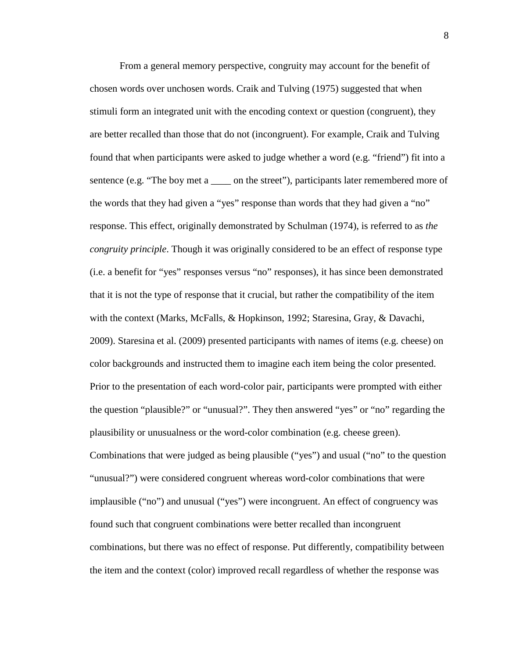From a general memory perspective, congruity may account for the benefit of chosen words over unchosen words. Craik and Tulving (1975) suggested that when found that when participants were asked to judge whether a word (e.g. "friend") fit into a sentence (e.g. "The boy met a \_\_\_\_\_ on the street"), participants later remembered more of response. This effect, originally demonstrated by Schulman (1974), is referred to as *the*  (i.e. a benefit for "yes" responses versus "no" responses), it has since been demonstrated color backgrounds and instructed them to imagine each item being the color presented. plausibility or unusualness or the word-color combination (e.g. cheese green). Combinations that were judged as being plausible ("yes") and usual ("no" to the question "unusual?") were considered congruent whereas word-color combinations that were implausible ("no") and unusual ("yes") were incongruent. An effect of congruency was stimuli form an integrated unit with the encoding context or question (congruent), they are better recalled than those that do not (incongruent). For example, Craik and Tulving the words that they had given a "yes" response than words that they had given a "no" *congruity principle*. Though it was originally considered to be an effect of response type that it is not the type of response that it crucial, but rather the compatibility of the item with the context (Marks, McFalls, & Hopkinson, 1992; Staresina, Gray, & Davachi, 2009). Staresina et al. (2009) presented participants with names of items (e.g. cheese) on Prior to the presentation of each word-color pair, participants were prompted with either the question "plausible?" or "unusual?". They then answered "yes" or "no" regarding the found such that congruent combinations were better recalled than incongruent combinations, but there was no effect of response. Put differently, compatibility between the item and the context (color) improved recall regardless of whether the response was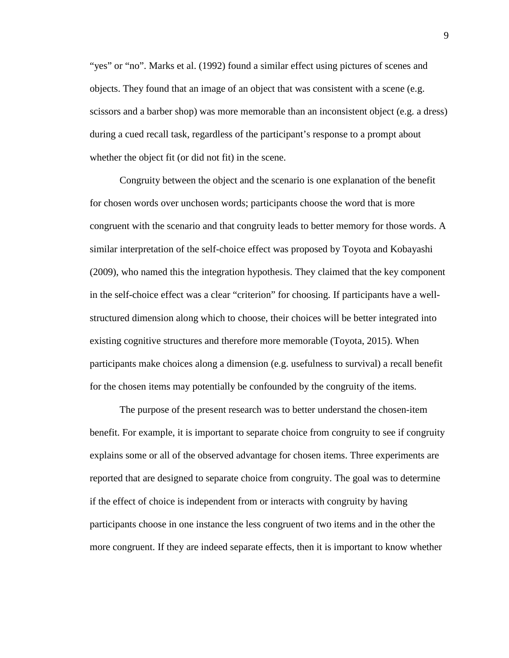objects. They found that an image of an object that was consistent with a scene (e.g. "yes" or "no". Marks et al. (1992) found a similar effect using pictures of scenes and scissors and a barber shop) was more memorable than an inconsistent object (e.g. a dress) during a cued recall task, regardless of the participant's response to a prompt about whether the object fit (or did not fit) in the scene.

 Congruity between the object and the scenario is one explanation of the benefit congruent with the scenario and that congruity leads to better memory for those words. A similar interpretation of the self-choice effect was proposed by Toyota and Kobayashi (2009), who named this the integration hypothesis. They claimed that the key component in the self-choice effect was a clear "criterion" for choosing. If participants have a well- structured dimension along which to choose, their choices will be better integrated into for the chosen items may potentially be confounded by the congruity of the items. for chosen words over unchosen words; participants choose the word that is more existing cognitive structures and therefore more memorable (Toyota, 2015). When participants make choices along a dimension (e.g. usefulness to survival) a recall benefit

 The purpose of the present research was to better understand the chosen-item benefit. For example, it is important to separate choice from congruity to see if congruity explains some or all of the observed advantage for chosen items. Three experiments are reported that are designed to separate choice from congruity. The goal was to determine if the effect of choice is independent from or interacts with congruity by having participants choose in one instance the less congruent of two items and in the other the more congruent. If they are indeed separate effects, then it is important to know whether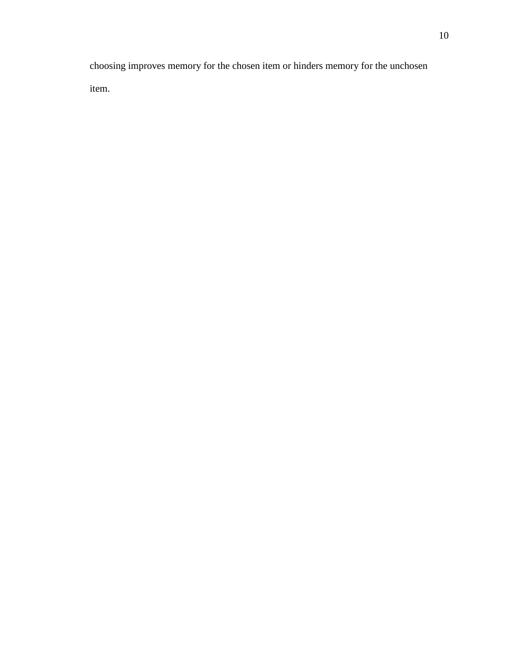choosing improves memory for the chosen item or hinders memory for the unchosen item.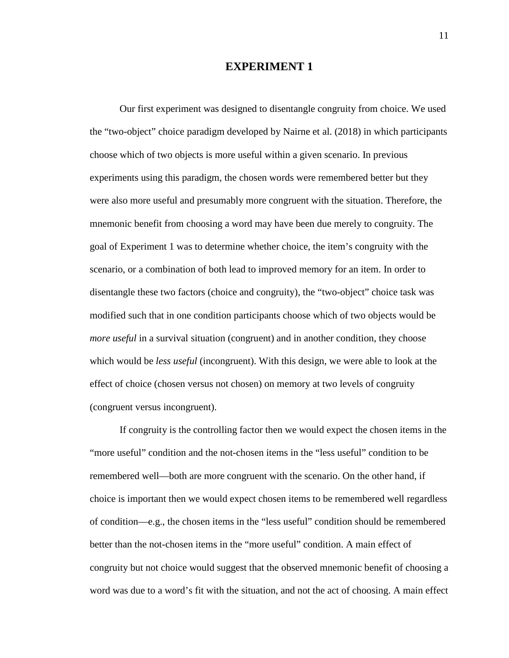#### **EXPERIMENT 1**

 Our first experiment was designed to disentangle congruity from choice. We used choose which of two objects is more useful within a given scenario. In previous experiments using this paradigm, the chosen words were remembered better but they mnemonic benefit from choosing a word may have been due merely to congruity. The goal of Experiment 1 was to determine whether choice, the item's congruity with the scenario, or a combination of both lead to improved memory for an item. In order to disentangle these two factors (choice and congruity), the "two-object" choice task was *more useful* in a survival situation (congruent) and in another condition, they choose which would be *less useful* (incongruent). With this design, we were able to look at the effect of choice (chosen versus not chosen) on memory at two levels of congruity the "two-object" choice paradigm developed by Nairne et al. (2018) in which participants were also more useful and presumably more congruent with the situation. Therefore, the modified such that in one condition participants choose which of two objects would be (congruent versus incongruent).

 congruity but not choice would suggest that the observed mnemonic benefit of choosing a If congruity is the controlling factor then we would expect the chosen items in the "more useful" condition and the not-chosen items in the "less useful" condition to be remembered well—both are more congruent with the scenario. On the other hand, if choice is important then we would expect chosen items to be remembered well regardless of condition—e.g., the chosen items in the "less useful" condition should be remembered better than the not-chosen items in the "more useful" condition. A main effect of word was due to a word's fit with the situation, and not the act of choosing. A main effect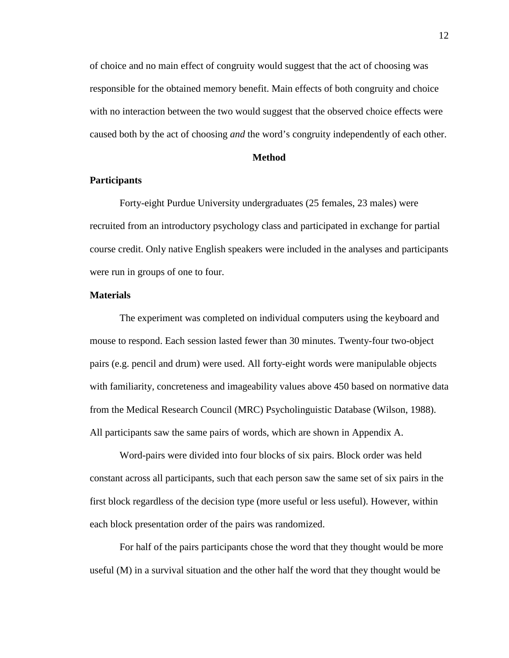of choice and no main effect of congruity would suggest that the act of choosing was responsible for the obtained memory benefit. Main effects of both congruity and choice caused both by the act of choosing *and* the word's congruity independently of each other. with no interaction between the two would suggest that the observed choice effects were

#### **Method**

#### **Participants**

Forty-eight Purdue University undergraduates (25 females, 23 males) were recruited from an introductory psychology class and participated in exchange for partial course credit. Only native English speakers were included in the analyses and participants were run in groups of one to four.

#### **Materials**

 pairs (e.g. pencil and drum) were used. All forty-eight words were manipulable objects The experiment was completed on individual computers using the keyboard and mouse to respond. Each session lasted fewer than 30 minutes. Twenty-four two-object with familiarity, concreteness and imageability values above 450 based on normative data from the Medical Research Council (MRC) Psycholinguistic Database (Wilson, 1988). All participants saw the same pairs of words, which are shown in Appendix A.

 Word-pairs were divided into four blocks of six pairs. Block order was held constant across all participants, such that each person saw the same set of six pairs in the first block regardless of the decision type (more useful or less useful). However, within each block presentation order of the pairs was randomized.

 For half of the pairs participants chose the word that they thought would be more useful (M) in a survival situation and the other half the word that they thought would be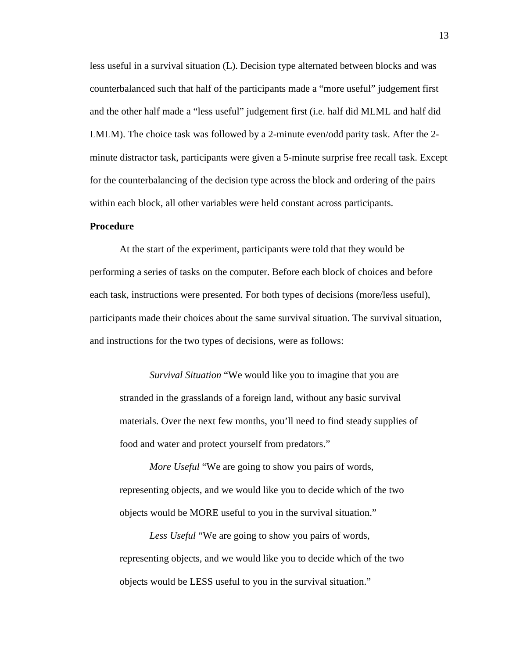LMLM). The choice task was followed by a 2-minute even/odd parity task. After the 2- minute distractor task, participants were given a 5-minute surprise free recall task. Except for the counterbalancing of the decision type across the block and ordering of the pairs less useful in a survival situation (L). Decision type alternated between blocks and was counterbalanced such that half of the participants made a "more useful" judgement first and the other half made a "less useful" judgement first (i.e. half did MLML and half did within each block, all other variables were held constant across participants.

#### **Procedure**

 performing a series of tasks on the computer. Before each block of choices and before participants made their choices about the same survival situation. The survival situation, At the start of the experiment, participants were told that they would be each task, instructions were presented. For both types of decisions (more/less useful), and instructions for the two types of decisions, were as follows:

 *Survival Situation* "We would like you to imagine that you are stranded in the grasslands of a foreign land, without any basic survival materials. Over the next few months, you'll need to find steady supplies of food and water and protect yourself from predators."

 *More Useful* "We are going to show you pairs of words, representing objects, and we would like you to decide which of the two objects would be MORE useful to you in the survival situation."

 *Less Useful* "We are going to show you pairs of words, representing objects, and we would like you to decide which of the two objects would be LESS useful to you in the survival situation."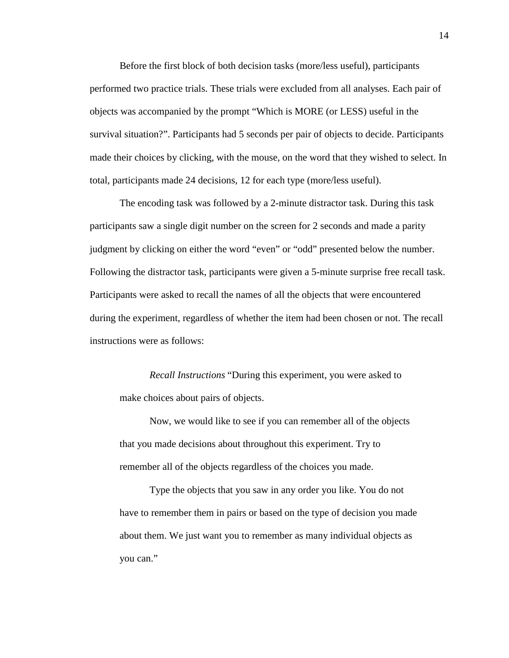Before the first block of both decision tasks (more/less useful), participants performed two practice trials. These trials were excluded from all analyses. Each pair of survival situation?". Participants had 5 seconds per pair of objects to decide. Participants objects was accompanied by the prompt "Which is MORE (or LESS) useful in the made their choices by clicking, with the mouse, on the word that they wished to select. In total, participants made 24 decisions, 12 for each type (more/less useful).

 Following the distractor task, participants were given a 5-minute surprise free recall task. instructions were as follows: The encoding task was followed by a 2-minute distractor task. During this task participants saw a single digit number on the screen for 2 seconds and made a parity judgment by clicking on either the word "even" or "odd" presented below the number. Participants were asked to recall the names of all the objects that were encountered during the experiment, regardless of whether the item had been chosen or not. The recall

*Recall Instructions* "During this experiment, you were asked to make choices about pairs of objects.

Now, we would like to see if you can remember all of the objects that you made decisions about throughout this experiment. Try to remember all of the objects regardless of the choices you made.

Type the objects that you saw in any order you like. You do not have to remember them in pairs or based on the type of decision you made about them. We just want you to remember as many individual objects as you can."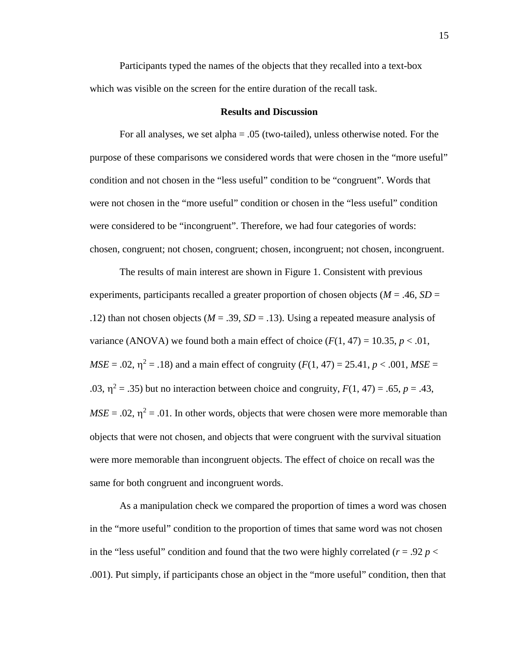which was visible on the screen for the entire duration of the recall task. Participants typed the names of the objects that they recalled into a text-box

#### **Results and Discussion**

 For all analyses, we set alpha = .05 (two-tailed), unless otherwise noted. For the were not chosen in the "more useful" condition or chosen in the "less useful" condition were considered to be "incongruent". Therefore, we had four categories of words: purpose of these comparisons we considered words that were chosen in the "more useful" condition and not chosen in the "less useful" condition to be "congruent". Words that chosen, congruent; not chosen, congruent; chosen, incongruent; not chosen, incongruent.

 experiments, participants recalled a greater proportion of chosen objects (*M* = .46, *SD* = .12) than not chosen objects ( $M = .39$ ,  $SD = .13$ ). Using a repeated measure analysis of variance (ANOVA) we found both a main effect of choice  $(F(1, 47) = 10.35, p < .01,$  $MSE = .02$ ,  $\eta^2 = .18$ ) and a main effect of congruity  $(F(1, 47) = 25.41, p < .001, MSE =$ .03,  $\eta^2$  = .35) but no interaction between choice and congruity,  $F(1, 47)$  = .65,  $p = .43$ ,  $MSE = .02$ ,  $\eta^2 = .01$ . In other words, objects that were chosen were more memorable than objects that were not chosen, and objects that were congruent with the survival situation were more memorable than incongruent objects. The effect of choice on recall was the same for both congruent and incongruent words. The results of main interest are shown in Figure 1. Consistent with previous

 in the "more useful" condition to the proportion of times that same word was not chosen in the "less useful" condition and found that the two were highly correlated ( $r = .92 p <$  .001). Put simply, if participants chose an object in the "more useful" condition, then that As a manipulation check we compared the proportion of times a word was chosen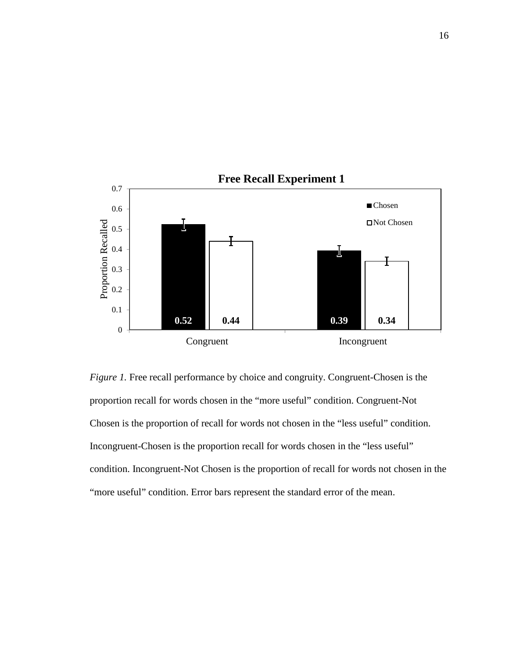

 *Figure 1.* Free recall performance by choice and congruity. Congruent-Chosen is the proportion recall for words chosen in the "more useful" condition. Congruent-Not Chosen is the proportion of recall for words not chosen in the "less useful" condition. Incongruent-Chosen is the proportion recall for words chosen in the "less useful" condition. Incongruent-Not Chosen is the proportion of recall for words not chosen in the "more useful" condition. Error bars represent the standard error of the mean.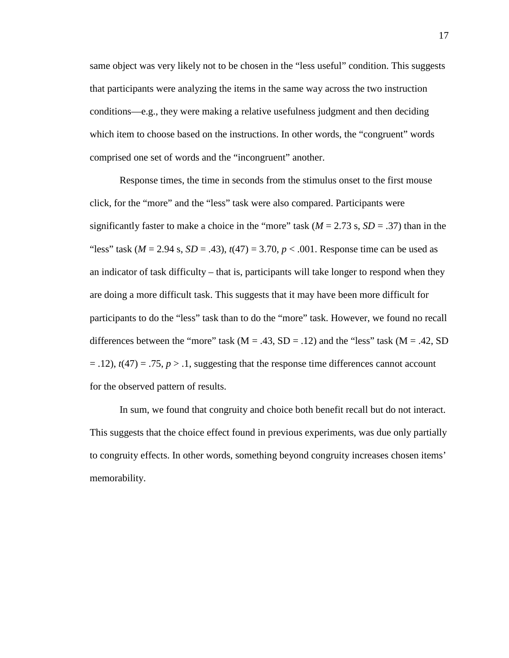same object was very likely not to be chosen in the "less useful" condition. This suggests comprised one set of words and the "incongruent" another. that participants were analyzing the items in the same way across the two instruction conditions—e.g., they were making a relative usefulness judgment and then deciding which item to choose based on the instructions. In other words, the "congruent" words

 significantly faster to make a choice in the "more" task (*M* = 2.73 s, *SD* = .37) than in the "less" task (*M* = 2.94 s, *SD* = .43), *t*(47) = 3.70, *p* < .001. Response time can be used as an indicator of task difficulty – that is, participants will take longer to respond when they differences between the "more" task  $(M = .43, SD = .12)$  and the "less" task  $(M = .42, SD$  $=$  .12),  $t(47) = .75$ ,  $p > .1$ , suggesting that the response time differences cannot account for the observed pattern of results. Response times, the time in seconds from the stimulus onset to the first mouse click, for the "more" and the "less" task were also compared. Participants were are doing a more difficult task. This suggests that it may have been more difficult for participants to do the "less" task than to do the "more" task. However, we found no recall

 This suggests that the choice effect found in previous experiments, was due only partially to congruity effects. In other words, something beyond congruity increases chosen items' In sum, we found that congruity and choice both benefit recall but do not interact. memorability.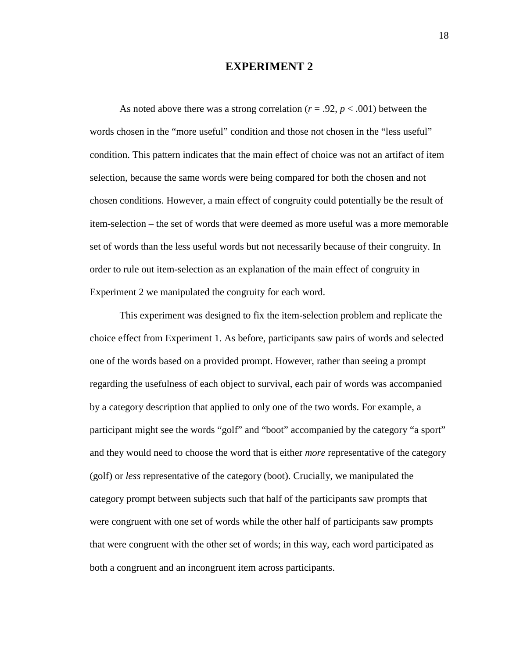#### **EXPERIMENT 2**

As noted above there was a strong correlation ( $r = .92$ ,  $p < .001$ ) between the selection, because the same words were being compared for both the chosen and not item-selection – the set of words that were deemed as more useful was a more memorable order to rule out item-selection as an explanation of the main effect of congruity in words chosen in the "more useful" condition and those not chosen in the "less useful" condition. This pattern indicates that the main effect of choice was not an artifact of item chosen conditions. However, a main effect of congruity could potentially be the result of set of words than the less useful words but not necessarily because of their congruity. In Experiment 2 we manipulated the congruity for each word.

 choice effect from Experiment 1. As before, participants saw pairs of words and selected regarding the usefulness of each object to survival, each pair of words was accompanied by a category description that applied to only one of the two words. For example, a were congruent with one set of words while the other half of participants saw prompts that were congruent with the other set of words; in this way, each word participated as This experiment was designed to fix the item-selection problem and replicate the one of the words based on a provided prompt. However, rather than seeing a prompt participant might see the words "golf" and "boot" accompanied by the category "a sport" and they would need to choose the word that is either *more* representative of the category (golf) or *less* representative of the category (boot). Crucially, we manipulated the category prompt between subjects such that half of the participants saw prompts that both a congruent and an incongruent item across participants.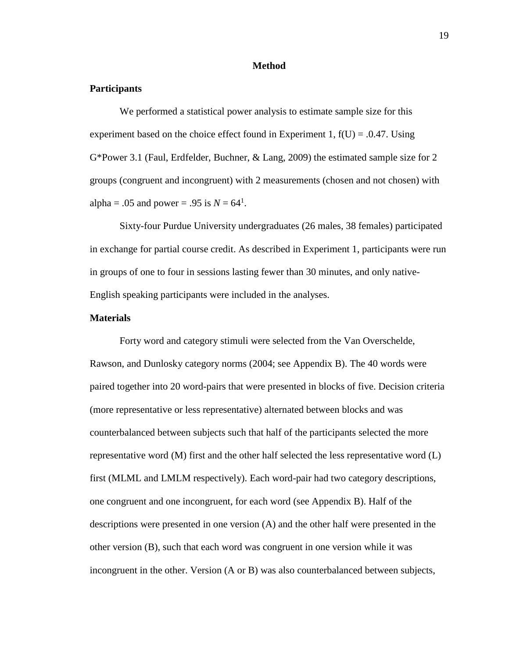#### **Method**

#### **Participants**

alpha = .05 and power = .95 is  $N = 64^1$ . We performed a statistical power analysis to estimate sample size for this experiment based on the choice effect found in Experiment 1,  $f(U) = .0.47$ . Using G\*Power 3.1 (Faul, Erdfelder, Buchner, & Lang, 2009) the estimated sample size for 2 groups (congruent and incongruent) with 2 measurements (chosen and not chosen) with

 Sixty-four Purdue University undergraduates (26 males, 38 females) participated in groups of one to four in sessions lasting fewer than 30 minutes, and only nativein exchange for partial course credit. As described in Experiment 1, participants were run English speaking participants were included in the analyses.

#### **Materials**

 Forty word and category stimuli were selected from the Van Overschelde, paired together into 20 word-pairs that were presented in blocks of five. Decision criteria (more representative or less representative) alternated between blocks and was representative word (M) first and the other half selected the less representative word (L) first (MLML and LMLM respectively). Each word-pair had two category descriptions, one congruent and one incongruent, for each word (see Appendix B). Half of the descriptions were presented in one version (A) and the other half were presented in the other version (B), such that each word was congruent in one version while it was incongruent in the other. Version (A or B) was also counterbalanced between subjects, Rawson, and Dunlosky category norms (2004; see Appendix B). The 40 words were counterbalanced between subjects such that half of the participants selected the more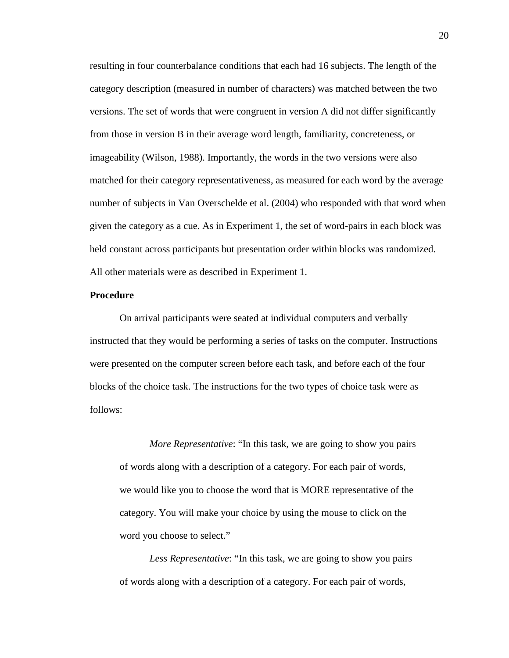held constant across participants but presentation order within blocks was randomized. All other materials were as described in Experiment 1. resulting in four counterbalance conditions that each had 16 subjects. The length of the category description (measured in number of characters) was matched between the two versions. The set of words that were congruent in version A did not differ significantly from those in version B in their average word length, familiarity, concreteness, or imageability (Wilson, 1988). Importantly, the words in the two versions were also matched for their category representativeness, as measured for each word by the average number of subjects in Van Overschelde et al. (2004) who responded with that word when given the category as a cue. As in Experiment 1, the set of word-pairs in each block was

#### **Procedure**

 instructed that they would be performing a series of tasks on the computer. Instructions were presented on the computer screen before each task, and before each of the four blocks of the choice task. The instructions for the two types of choice task were as On arrival participants were seated at individual computers and verbally follows:

 *More Representative*: "In this task, we are going to show you pairs category. You will make your choice by using the mouse to click on the of words along with a description of a category. For each pair of words, we would like you to choose the word that is MORE representative of the word you choose to select."

 *Less Representative*: "In this task, we are going to show you pairs of words along with a description of a category. For each pair of words,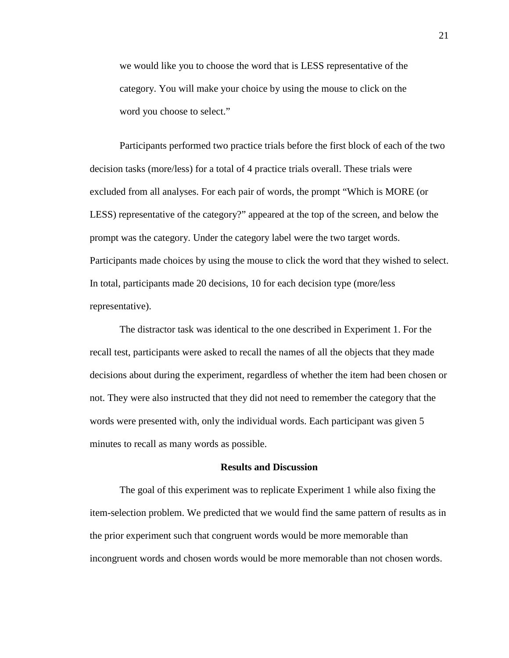category. You will make your choice by using the mouse to click on the we would like you to choose the word that is LESS representative of the word you choose to select."

 prompt was the category. Under the category label were the two target words. Participants performed two practice trials before the first block of each of the two decision tasks (more/less) for a total of 4 practice trials overall. These trials were excluded from all analyses. For each pair of words, the prompt "Which is MORE (or LESS) representative of the category?" appeared at the top of the screen, and below the Participants made choices by using the mouse to click the word that they wished to select. In total, participants made 20 decisions, 10 for each decision type (more/less representative).

 The distractor task was identical to the one described in Experiment 1. For the minutes to recall as many words as possible. recall test, participants were asked to recall the names of all the objects that they made decisions about during the experiment, regardless of whether the item had been chosen or not. They were also instructed that they did not need to remember the category that the words were presented with, only the individual words. Each participant was given 5

#### **Results and Discussion**

The goal of this experiment was to replicate Experiment 1 while also fixing the item-selection problem. We predicted that we would find the same pattern of results as in the prior experiment such that congruent words would be more memorable than incongruent words and chosen words would be more memorable than not chosen words.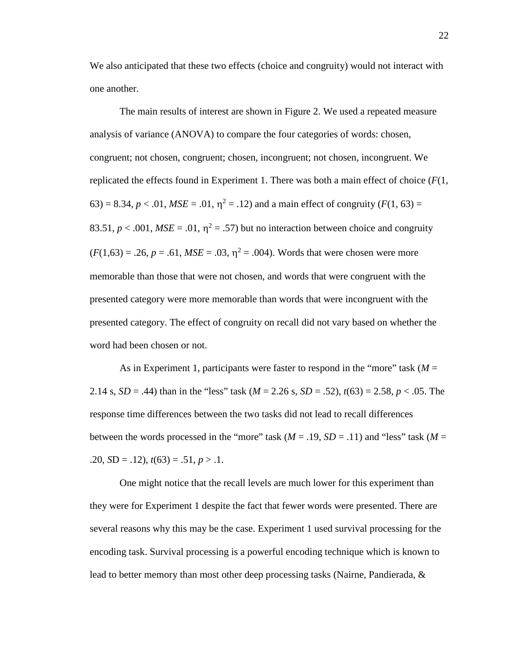We also anticipated that these two effects (choice and congruity) would not interact with one another.

 replicated the effects found in Experiment 1. There was both a main effect of choice (*F*(1, 63) = 8.34,  $p < .01$ ,  $MSE = .01$ ,  $\eta^2 = .12$ ) and a main effect of congruity ( $F(1, 63) =$ 83.51,  $p < .001$ ,  $MSE = .01$ ,  $\eta^2 = .57$ ) but no interaction between choice and congruity  $(F(1,63) = .26, p = .61, MSE = .03, \eta^2 = .004)$ . Words that were chosen were more presented category were more memorable than words that were incongruent with the presented category. The effect of congruity on recall did not vary based on whether the The main results of interest are shown in Figure 2. We used a repeated measure analysis of variance (ANOVA) to compare the four categories of words: chosen, congruent; not chosen, congruent; chosen, incongruent; not chosen, incongruent. We memorable than those that were not chosen, and words that were congruent with the word had been chosen or not.

As in Experiment 1, participants were faster to respond in the "more" task  $(M =$  2.14 s, *SD* = .44) than in the "less" task (*M* = 2.26 s, *SD* = .52), *t*(63) = 2.58, *p* < .05. The between the words processed in the "more" task  $(M = .19, SD = .11)$  and "less" task  $(M = .19, SD = .11)$ " response time differences between the two tasks did not lead to recall differences .20,  $SD = .12$ ),  $t(63) = .51$ ,  $p > .1$ .

 several reasons why this may be the case. Experiment 1 used survival processing for the One might notice that the recall levels are much lower for this experiment than they were for Experiment 1 despite the fact that fewer words were presented. There are encoding task. Survival processing is a powerful encoding technique which is known to lead to better memory than most other deep processing tasks (Nairne, Pandierada, &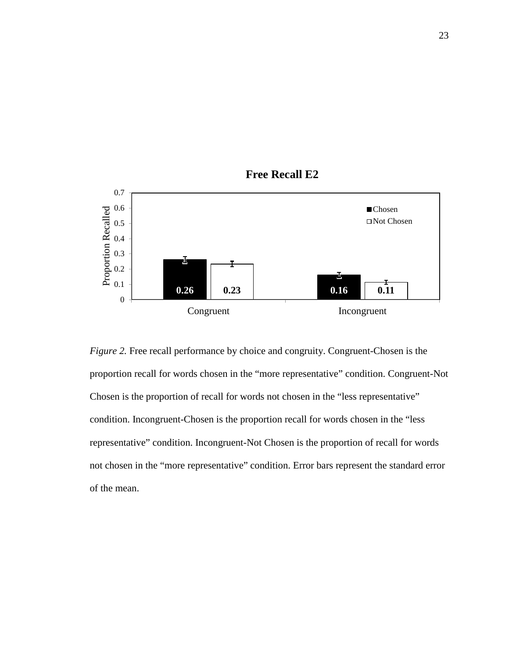

**Free Recall E2** 

 *Figure 2.* Free recall performance by choice and congruity. Congruent-Chosen is the proportion recall for words chosen in the "more representative" condition. Congruent-Not Chosen is the proportion of recall for words not chosen in the "less representative" condition. Incongruent-Chosen is the proportion recall for words chosen in the "less representative" condition. Incongruent-Not Chosen is the proportion of recall for words not chosen in the "more representative" condition. Error bars represent the standard error of the mean.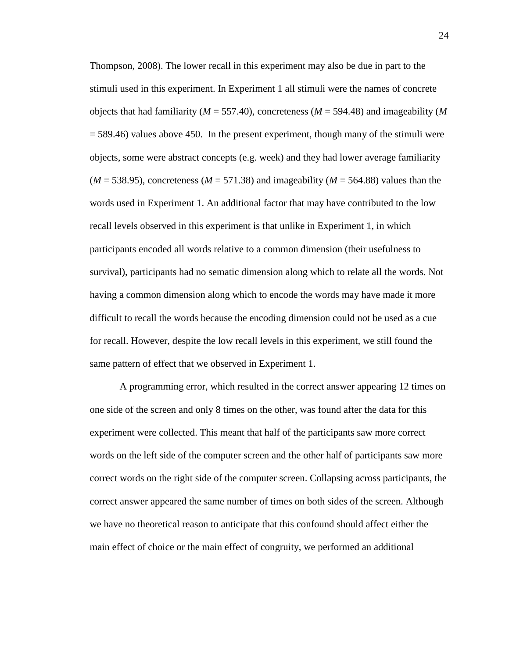objects that had familiarity (*M* = 557.40), concreteness (*M* = 594.48) and imageability (*M*  = 589.46) values above 450. In the present experiment, though many of the stimuli were objects, some were abstract concepts (e.g. week) and they had lower average familiarity  $(M = 538.95)$ , concreteness  $(M = 571.38)$  and imageability  $(M = 564.88)$  values than the words used in Experiment 1. An additional factor that may have contributed to the low Thompson, 2008). The lower recall in this experiment may also be due in part to the stimuli used in this experiment. In Experiment 1 all stimuli were the names of concrete recall levels observed in this experiment is that unlike in Experiment 1, in which participants encoded all words relative to a common dimension (their usefulness to survival), participants had no sematic dimension along which to relate all the words. Not having a common dimension along which to encode the words may have made it more difficult to recall the words because the encoding dimension could not be used as a cue for recall. However, despite the low recall levels in this experiment, we still found the same pattern of effect that we observed in Experiment 1.

 one side of the screen and only 8 times on the other, was found after the data for this correct words on the right side of the computer screen. Collapsing across participants, the A programming error, which resulted in the correct answer appearing 12 times on experiment were collected. This meant that half of the participants saw more correct words on the left side of the computer screen and the other half of participants saw more correct answer appeared the same number of times on both sides of the screen. Although we have no theoretical reason to anticipate that this confound should affect either the main effect of choice or the main effect of congruity, we performed an additional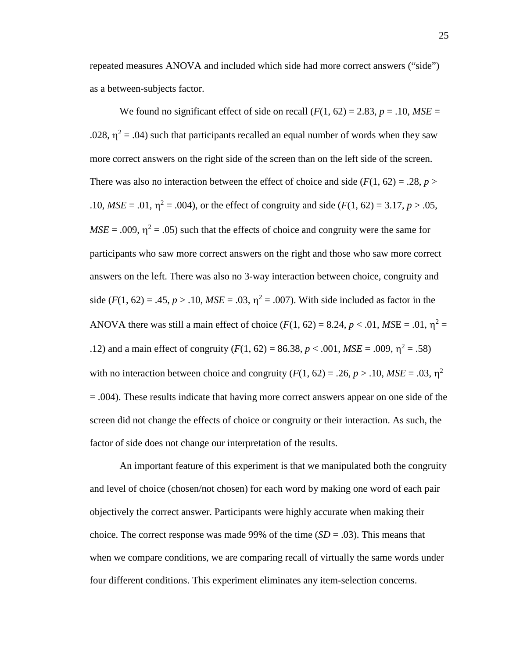repeated measures ANOVA and included which side had more correct answers ("side") as a between-subjects factor.

We found no significant effect of side on recall  $(F(1, 62) = 2.83, p = .10, MSE =$ .028,  $\eta^2$  = .04) such that participants recalled an equal number of words when they saw more correct answers on the right side of the screen than on the left side of the screen. There was also no interaction between the effect of choice and side  $(F(1, 62) = .28, p >$ .10,  $MSE = .01$ ,  $\eta^2 = .004$ ), or the effect of congruity and side ( $F(1, 62) = 3.17$ ,  $p > .05$ ,  $MSE = .009$ ,  $\eta^2 = .05$ ) such that the effects of choice and congruity were the same for participants who saw more correct answers on the right and those who saw more correct side ( $F(1, 62) = .45$ ,  $p > .10$ ,  $MSE = .03$ ,  $\eta^2 = .007$ ). With side included as factor in the ANOVA there was still a main effect of choice ( $F(1, 62) = 8.24$ ,  $p < .01$ ,  $MSE = .01$ ,  $\eta^2 =$ .12) and a main effect of congruity  $(F(1, 62) = 86.38, p < .001, MSE = .009, \eta^2 = .58)$ with no interaction between choice and congruity ( $F(1, 62) = .26$ ,  $p > .10$ ,  $MSE = .03$ ,  $\eta^2$  = .004). These results indicate that having more correct answers appear on one side of the screen did not change the effects of choice or congruity or their interaction. As such, the answers on the left. There was also no 3-way interaction between choice, congruity and factor of side does not change our interpretation of the results.

 An important feature of this experiment is that we manipulated both the congruity choice. The correct response was made 99% of the time  $(SD = .03)$ . This means that and level of choice (chosen/not chosen) for each word by making one word of each pair objectively the correct answer. Participants were highly accurate when making their when we compare conditions, we are comparing recall of virtually the same words under four different conditions. This experiment eliminates any item-selection concerns.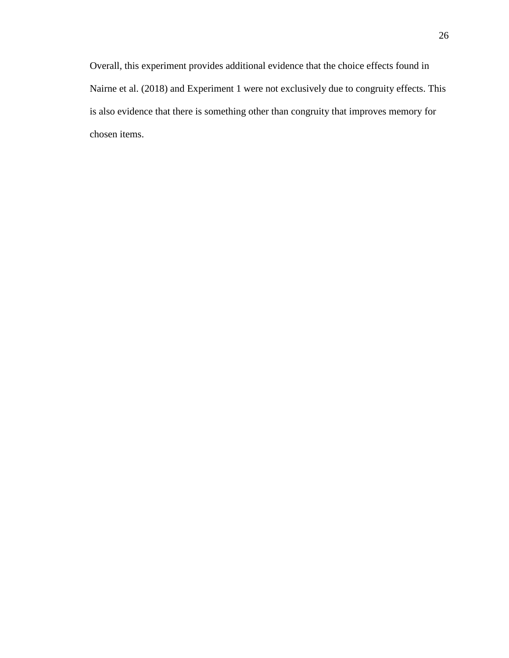is also evidence that there is something other than congruity that improves memory for chosen items. Overall, this experiment provides additional evidence that the choice effects found in Nairne et al. (2018) and Experiment 1 were not exclusively due to congruity effects. This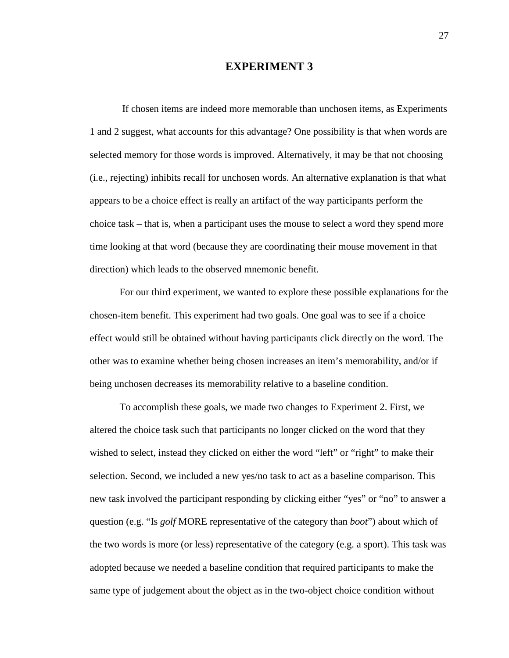#### **EXPERIMENT 3**

 appears to be a choice effect is really an artifact of the way participants perform the choice task – that is, when a participant uses the mouse to select a word they spend more direction) which leads to the observed mnemonic benefit. If chosen items are indeed more memorable than unchosen items, as Experiments 1 and 2 suggest, what accounts for this advantage? One possibility is that when words are selected memory for those words is improved. Alternatively, it may be that not choosing (i.e., rejecting) inhibits recall for unchosen words. An alternative explanation is that what time looking at that word (because they are coordinating their mouse movement in that

being unchosen decreases its memorability relative to a baseline condition. For our third experiment, we wanted to explore these possible explanations for the chosen-item benefit. This experiment had two goals. One goal was to see if a choice effect would still be obtained without having participants click directly on the word. The other was to examine whether being chosen increases an item's memorability, and/or if

 wished to select, instead they clicked on either the word "left" or "right" to make their question (e.g. "Is *golf* MORE representative of the category than *boot*") about which of adopted because we needed a baseline condition that required participants to make the same type of judgement about the object as in the two-object choice condition without To accomplish these goals, we made two changes to Experiment 2. First, we altered the choice task such that participants no longer clicked on the word that they selection. Second, we included a new yes/no task to act as a baseline comparison. This new task involved the participant responding by clicking either "yes" or "no" to answer a the two words is more (or less) representative of the category (e.g. a sport). This task was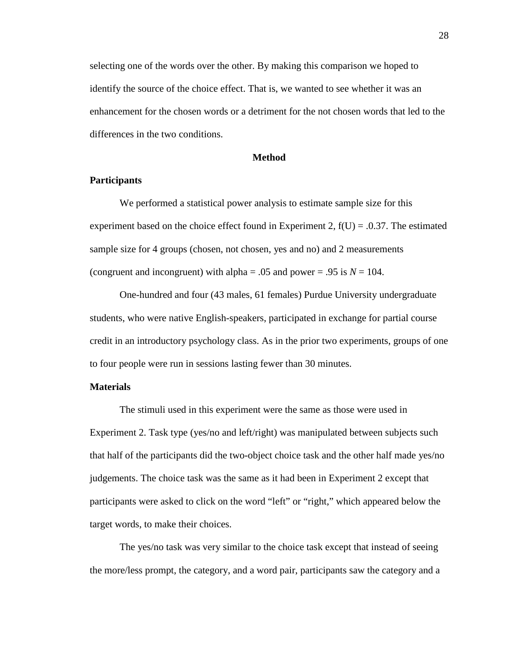selecting one of the words over the other. By making this comparison we hoped to identify the source of the choice effect. That is, we wanted to see whether it was an enhancement for the chosen words or a detriment for the not chosen words that led to the differences in the two conditions.

#### **Method**

#### **Participants**

 sample size for 4 groups (chosen, not chosen, yes and no) and 2 measurements (congruent and incongruent) with alpha = .05 and power = .95 is  $N = 104$ . We performed a statistical power analysis to estimate sample size for this experiment based on the choice effect found in Experiment 2,  $f(U) = 0.37$ . The estimated

 credit in an introductory psychology class. As in the prior two experiments, groups of one to four people were run in sessions lasting fewer than 30 minutes. One-hundred and four (43 males, 61 females) Purdue University undergraduate students, who were native English-speakers, participated in exchange for partial course

#### **Materials**

 Experiment 2. Task type (yes/no and left/right) was manipulated between subjects such The stimuli used in this experiment were the same as those were used in that half of the participants did the two-object choice task and the other half made yes/no judgements. The choice task was the same as it had been in Experiment 2 except that participants were asked to click on the word "left" or "right," which appeared below the target words, to make their choices.

The yes/no task was very similar to the choice task except that instead of seeing the more/less prompt, the category, and a word pair, participants saw the category and a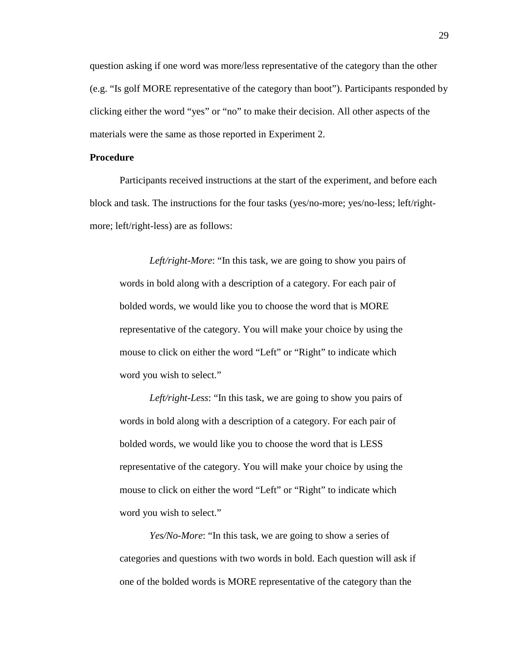(e.g. "Is golf MORE representative of the category than boot"). Participants responded by question asking if one word was more/less representative of the category than the other clicking either the word "yes" or "no" to make their decision. All other aspects of the materials were the same as those reported in Experiment 2.

#### **Procedure**

Participants received instructions at the start of the experiment, and before each block and task. The instructions for the four tasks (yes/no-more; yes/no-less; left/rightmore; left/right-less) are as follows:

 *Left/right-More*: "In this task, we are going to show you pairs of words in bold along with a description of a category. For each pair of bolded words, we would like you to choose the word that is MORE representative of the category. You will make your choice by using the mouse to click on either the word "Left" or "Right" to indicate which word you wish to select."

 *Left/right-Less*: "In this task, we are going to show you pairs of words in bold along with a description of a category. For each pair of bolded words, we would like you to choose the word that is LESS representative of the category. You will make your choice by using the mouse to click on either the word "Left" or "Right" to indicate which word you wish to select."

*Yes/No-More*: "In this task, we are going to show a series of categories and questions with two words in bold. Each question will ask if one of the bolded words is MORE representative of the category than the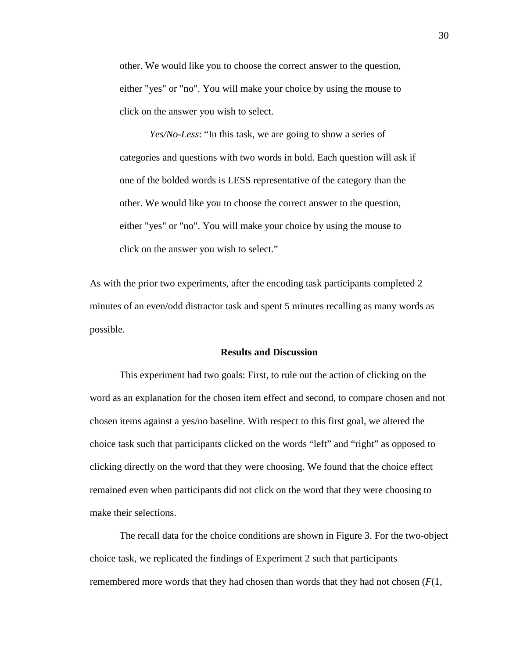other. We would like you to choose the correct answer to the question, either "yes" or "no". You will make your choice by using the mouse to click on the answer you wish to select.

 either "yes" or "no". You will make your choice by using the mouse to *Yes/No-Less*: "In this task, we are going to show a series of categories and questions with two words in bold. Each question will ask if one of the bolded words is LESS representative of the category than the other. We would like you to choose the correct answer to the question, click on the answer you wish to select."

 minutes of an even/odd distractor task and spent 5 minutes recalling as many words as possible. As with the prior two experiments, after the encoding task participants completed 2

#### **Results and Discussion**

 This experiment had two goals: First, to rule out the action of clicking on the word as an explanation for the chosen item effect and second, to compare chosen and not choice task such that participants clicked on the words "left" and "right" as opposed to chosen items against a yes/no baseline. With respect to this first goal, we altered the clicking directly on the word that they were choosing. We found that the choice effect remained even when participants did not click on the word that they were choosing to make their selections.

 remembered more words that they had chosen than words that they had not chosen (*F*(1, The recall data for the choice conditions are shown in Figure 3. For the two-object choice task, we replicated the findings of Experiment 2 such that participants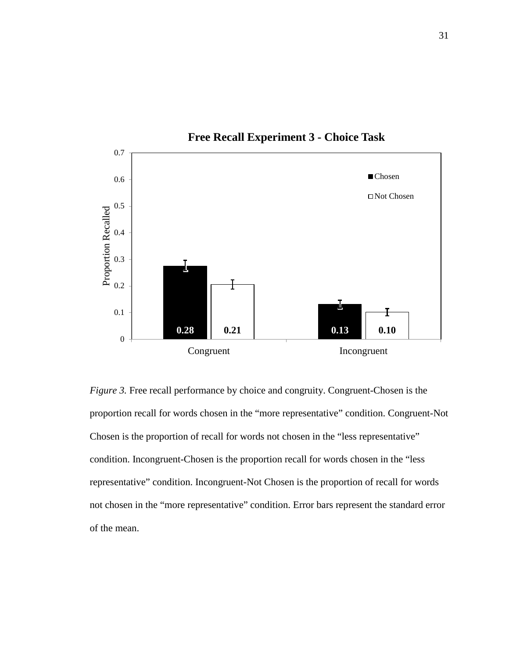

 *Figure 3.* Free recall performance by choice and congruity. Congruent-Chosen is the proportion recall for words chosen in the "more representative" condition. Congruent-Not Chosen is the proportion of recall for words not chosen in the "less representative" condition. Incongruent-Chosen is the proportion recall for words chosen in the "less representative" condition. Incongruent-Not Chosen is the proportion of recall for words not chosen in the "more representative" condition. Error bars represent the standard error of the mean.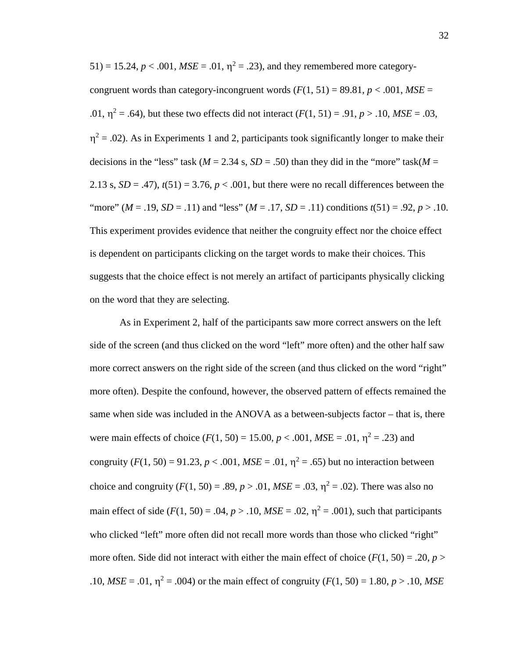$51) = 15.24, p < .001, MSE = .01, \eta^2 = .23$ ), and they remembered more categorycongruent words than category-incongruent words  $(F(1, 51) = 89.81, p < .001, MSE =$ .01,  $\eta^2 = .64$ ), but these two effects did not interact  $(F(1, 51) = .91, p > .10, MSE = .03$ ,  $\eta^2$  = .02). As in Experiments 1 and 2, participants took significantly longer to make their decisions in the "less" task ( $M = 2.34$  s,  $SD = .50$ ) than they did in the "more" task( $M =$ 2.13 s,  $SD = .47$ ),  $t(51) = 3.76$ ,  $p < .001$ , but there were no recall differences between the "more" ( $M = .19$ ,  $SD = .11$ ) and "less" ( $M = .17$ ,  $SD = .11$ ) conditions  $t(51) = .92$ ,  $p > .10$ . suggests that the choice effect is not merely an artifact of participants physically clicking on the word that they are selecting. This experiment provides evidence that neither the congruity effect nor the choice effect is dependent on participants clicking on the target words to make their choices. This

 side of the screen (and thus clicked on the word "left" more often) and the other half saw same when side was included in the ANOVA as a between-subjects factor – that is, there congruity  $(F(1, 50) = 91.23, p < .001, MSE = .01, \eta^2 = .65)$  but no interaction between choice and congruity  $(F(1, 50) = .89, p > .01, MSE = .03, \eta^2 = .02)$ . There was also no main effect of side ( $F(1, 50) = .04$ ,  $p > .10$ ,  $MSE = .02$ ,  $\eta^2 = .001$ ), such that participants more often. Side did not interact with either the main effect of choice  $(F(1, 50) = .20, p >$ .10,  $MSE = .01$ ,  $\eta^2 = .004$ ) or the main effect of congruity ( $F(1, 50) = 1.80$ ,  $p > .10$ ,  $MSE$ As in Experiment 2, half of the participants saw more correct answers on the left more correct answers on the right side of the screen (and thus clicked on the word "right" more often). Despite the confound, however, the observed pattern of effects remained the were main effects of choice ( $F(1, 50) = 15.00$ ,  $p < .001$ ,  $MSE = .01$ ,  $\eta^2 = .23$ ) and who clicked "left" more often did not recall more words than those who clicked "right"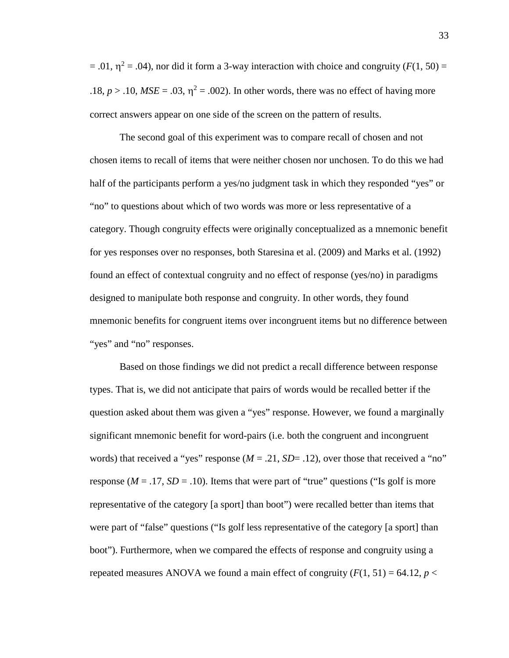$=$  .01,  $\eta^2$  = .04), nor did it form a 3-way interaction with choice and congruity (*F*(1, 50) = .18,  $p > 0.10$ ,  $MSE = 0.03$ ,  $\eta^2 = 0.002$ ). In other words, there was no effect of having more correct answers appear on one side of the screen on the pattern of results.

 "no" to questions about which of two words was more or less representative of a found an effect of contextual congruity and no effect of response (yes/no) in paradigms The second goal of this experiment was to compare recall of chosen and not chosen items to recall of items that were neither chosen nor unchosen. To do this we had half of the participants perform a yes/no judgment task in which they responded "yes" or category. Though congruity effects were originally conceptualized as a mnemonic benefit for yes responses over no responses, both Staresina et al. (2009) and Marks et al. (1992) designed to manipulate both response and congruity. In other words, they found mnemonic benefits for congruent items over incongruent items but no difference between "yes" and "no" responses.

 question asked about them was given a "yes" response. However, we found a marginally response ( $M = .17$ ,  $SD = .10$ ). Items that were part of "true" questions ("Is golf is more were part of "false" questions ("Is golf less representative of the category [a sport] than repeated measures ANOVA we found a main effect of congruity  $(F(1, 51) = 64.12, p <$ Based on those findings we did not predict a recall difference between response types. That is, we did not anticipate that pairs of words would be recalled better if the significant mnemonic benefit for word-pairs (i.e. both the congruent and incongruent words) that received a "yes" response ( $M = .21$ ,  $SD = .12$ ), over those that received a "no" representative of the category [a sport] than boot") were recalled better than items that boot"). Furthermore, when we compared the effects of response and congruity using a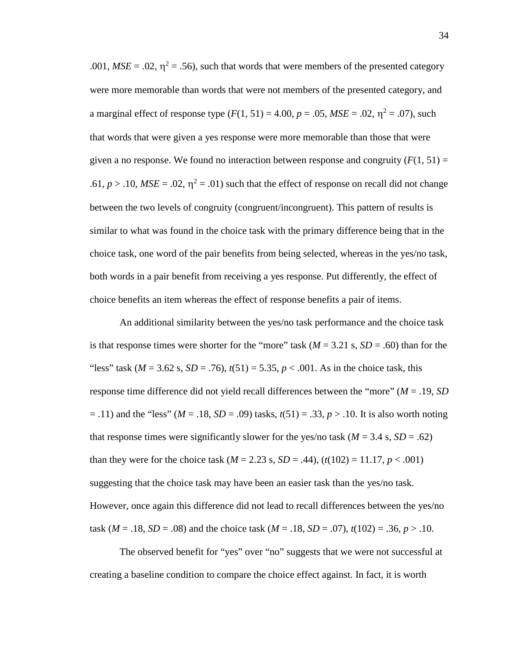.001,  $MSE = .02$ ,  $\eta^2 = .56$ ), such that words that were members of the presented category a marginal effect of response type  $(F(1, 51) = 4.00, p = .05, MSE = .02, \eta^2 = .07)$ , such that words that were given a yes response were more memorable than those that were given a no response. We found no interaction between response and congruity  $(F(1, 51) =$ .61,  $p > 0.10$ ,  $MSE = 0.02$ ,  $\eta^2 = 0.01$ ) such that the effect of response on recall did not change choice task, one word of the pair benefits from being selected, whereas in the yes/no task, both words in a pair benefit from receiving a yes response. Put differently, the effect of choice benefits an item whereas the effect of response benefits a pair of items. were more memorable than words that were not members of the presented category, and between the two levels of congruity (congruent/incongruent). This pattern of results is similar to what was found in the choice task with the primary difference being that in the

 is that response times were shorter for the "more" task (*M* = 3.21 s, *SD* = .60) than for the "less" task ( $M = 3.62$  s,  $SD = .76$ ),  $t(51) = 5.35$ ,  $p < .001$ . As in the choice task, this response time difference did not yield recall differences between the "more" (*M* = .19, *SD*  = .11) and the "less" (*M* = .18, *SD* = .09) tasks, *t*(51) = .33, *p* > .10. It is also worth noting that response times were significantly slower for the yes/no task  $(M = 3.4 \text{ s}, SD = .62)$ than they were for the choice task ( $M = 2.23$  s,  $SD = .44$ ), ( $t(102) = 11.17, p < .001$ ) suggesting that the choice task may have been an easier task than the yes/no task. task (*M* = .18, *SD* = .08) and the choice task (*M* = .18, *SD* = .07),  $t(102) = .36, p > .10$ . An additional similarity between the yes/no task performance and the choice task However, once again this difference did not lead to recall differences between the yes/no

 creating a baseline condition to compare the choice effect against. In fact, it is worth The observed benefit for "yes" over "no" suggests that we were not successful at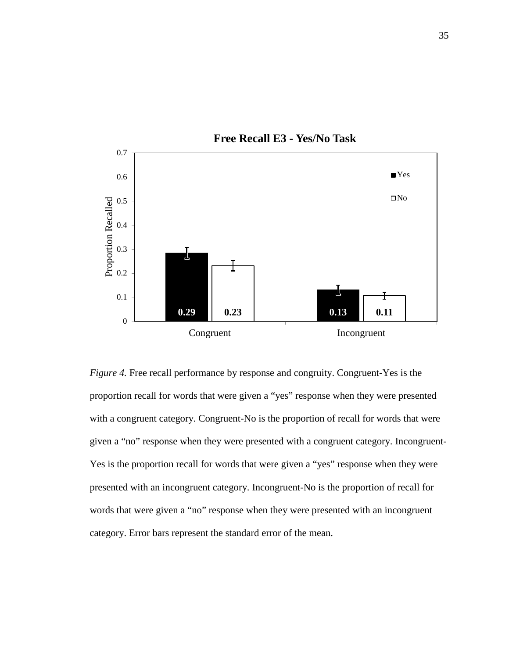

 *Figure 4.* Free recall performance by response and congruity. Congruent-Yes is the given a "no" response when they were presented with a congruent category. Incongruent- words that were given a "no" response when they were presented with an incongruent proportion recall for words that were given a "yes" response when they were presented with a congruent category. Congruent-No is the proportion of recall for words that were Yes is the proportion recall for words that were given a "yes" response when they were presented with an incongruent category. Incongruent-No is the proportion of recall for category. Error bars represent the standard error of the mean.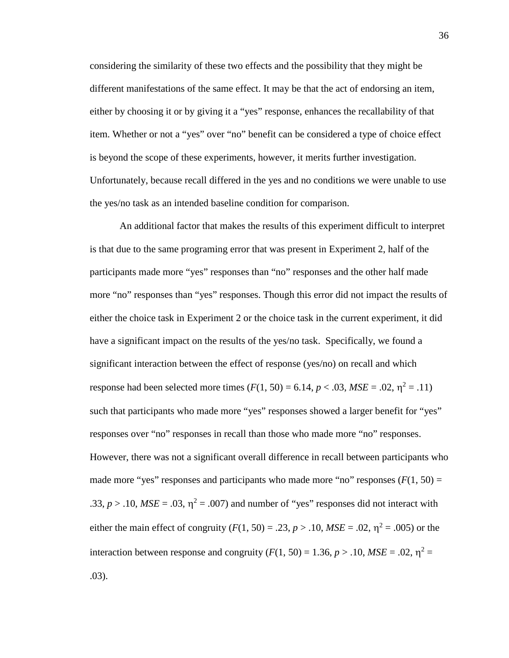either by choosing it or by giving it a "yes" response, enhances the recallability of that considering the similarity of these two effects and the possibility that they might be different manifestations of the same effect. It may be that the act of endorsing an item, item. Whether or not a "yes" over "no" benefit can be considered a type of choice effect is beyond the scope of these experiments, however, it merits further investigation. Unfortunately, because recall differed in the yes and no conditions we were unable to use the yes/no task as an intended baseline condition for comparison.

 is that due to the same programing error that was present in Experiment 2, half of the participants made more "yes" responses than "no" responses and the other half made significant interaction between the effect of response (yes/no) on recall and which response had been selected more times  $(F(1, 50) = 6.14, p < .03, MSE = .02, \eta^2 = .11)$ .33,  $p > 0.10$ ,  $MSE = 0.03$ ,  $\eta^2 = 0.007$ ) and number of "yes" responses did not interact with either the main effect of congruity ( $F(1, 50) = .23$ ,  $p > .10$ ,  $MSE = .02$ ,  $\eta^2 = .005$ ) or the interaction between response and congruity  $(F(1, 50) = 1.36, p > .10, MSE = .02, \eta^2 =$ An additional factor that makes the results of this experiment difficult to interpret more "no" responses than "yes" responses. Though this error did not impact the results of either the choice task in Experiment 2 or the choice task in the current experiment, it did have a significant impact on the results of the yes/no task. Specifically, we found a such that participants who made more "yes" responses showed a larger benefit for "yes" responses over "no" responses in recall than those who made more "no" responses. However, there was not a significant overall difference in recall between participants who made more "yes" responses and participants who made more "no" responses  $(F(1, 50) =$ .03).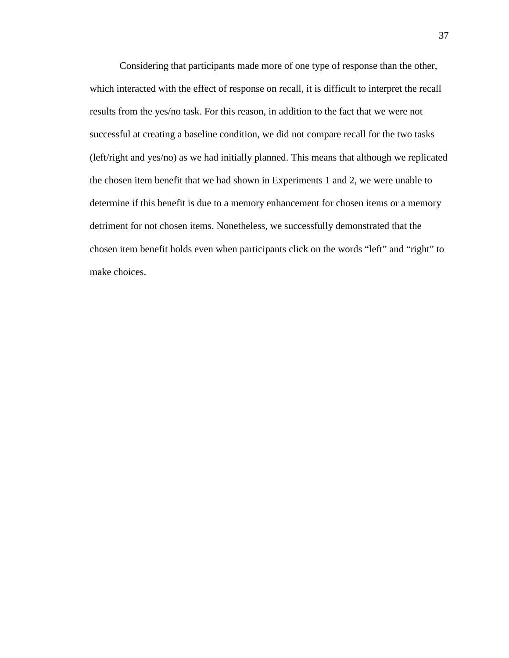successful at creating a baseline condition, we did not compare recall for the two tasks Considering that participants made more of one type of response than the other, which interacted with the effect of response on recall, it is difficult to interpret the recall results from the yes/no task. For this reason, in addition to the fact that we were not (left/right and yes/no) as we had initially planned. This means that although we replicated the chosen item benefit that we had shown in Experiments 1 and 2, we were unable to determine if this benefit is due to a memory enhancement for chosen items or a memory detriment for not chosen items. Nonetheless, we successfully demonstrated that the chosen item benefit holds even when participants click on the words "left" and "right" to make choices.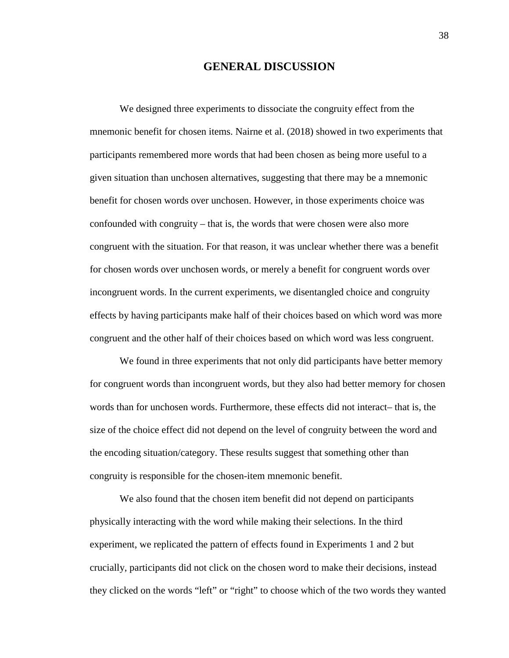### **GENERAL DISCUSSION**

 participants remembered more words that had been chosen as being more useful to a given situation than unchosen alternatives, suggesting that there may be a mnemonic confounded with congruity – that is, the words that were chosen were also more congruent and the other half of their choices based on which word was less congruent. We designed three experiments to dissociate the congruity effect from the mnemonic benefit for chosen items. Nairne et al. (2018) showed in two experiments that benefit for chosen words over unchosen. However, in those experiments choice was congruent with the situation. For that reason, it was unclear whether there was a benefit for chosen words over unchosen words, or merely a benefit for congruent words over incongruent words. In the current experiments, we disentangled choice and congruity effects by having participants make half of their choices based on which word was more

We found in three experiments that not only did participants have better memory for congruent words than incongruent words, but they also had better memory for chosen words than for unchosen words. Furthermore, these effects did not interact– that is, the size of the choice effect did not depend on the level of congruity between the word and the encoding situation/category. These results suggest that something other than congruity is responsible for the chosen-item mnemonic benefit.

 they clicked on the words "left" or "right" to choose which of the two words they wanted We also found that the chosen item benefit did not depend on participants physically interacting with the word while making their selections. In the third experiment, we replicated the pattern of effects found in Experiments 1 and 2 but crucially, participants did not click on the chosen word to make their decisions, instead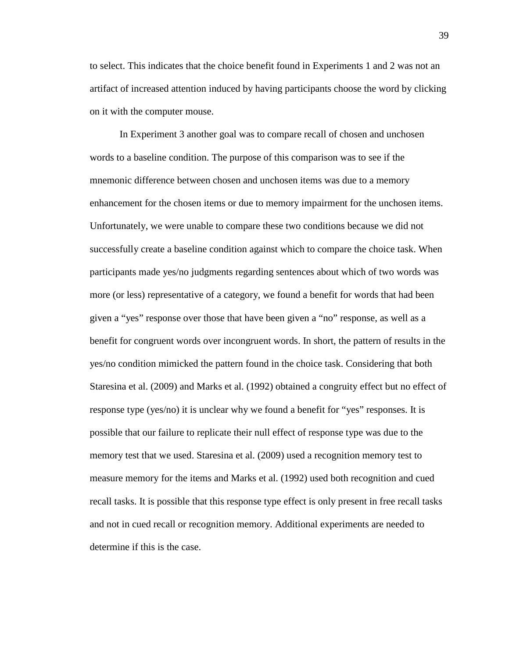to select. This indicates that the choice benefit found in Experiments 1 and 2 was not an artifact of increased attention induced by having participants choose the word by clicking on it with the computer mouse.

 In Experiment 3 another goal was to compare recall of chosen and unchosen words to a baseline condition. The purpose of this comparison was to see if the Unfortunately, we were unable to compare these two conditions because we did not participants made yes/no judgments regarding sentences about which of two words was given a "yes" response over those that have been given a "no" response, as well as a possible that our failure to replicate their null effect of response type was due to the memory test that we used. Staresina et al. (2009) used a recognition memory test to determine if this is the case. mnemonic difference between chosen and unchosen items was due to a memory enhancement for the chosen items or due to memory impairment for the unchosen items. successfully create a baseline condition against which to compare the choice task. When more (or less) representative of a category, we found a benefit for words that had been benefit for congruent words over incongruent words. In short, the pattern of results in the yes/no condition mimicked the pattern found in the choice task. Considering that both Staresina et al. (2009) and Marks et al. (1992) obtained a congruity effect but no effect of response type (yes/no) it is unclear why we found a benefit for "yes" responses. It is measure memory for the items and Marks et al. (1992) used both recognition and cued recall tasks. It is possible that this response type effect is only present in free recall tasks and not in cued recall or recognition memory. Additional experiments are needed to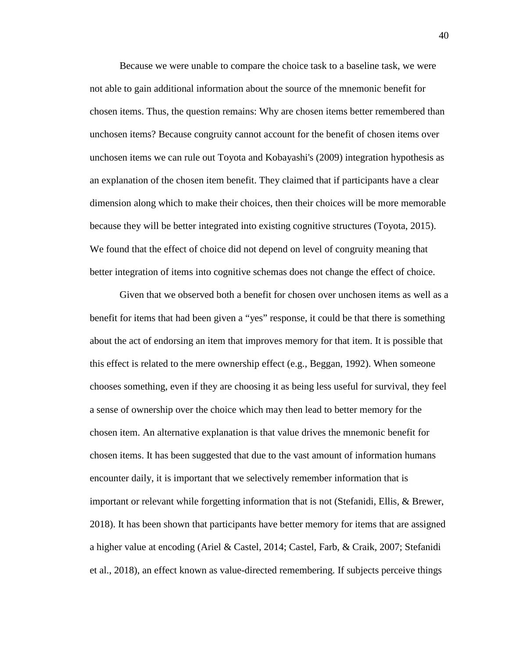chosen items. Thus, the question remains: Why are chosen items better remembered than unchosen items we can rule out Toyota and Kobayashi's (2009) integration hypothesis as an explanation of the chosen item benefit. They claimed that if participants have a clear Because we were unable to compare the choice task to a baseline task, we were not able to gain additional information about the source of the mnemonic benefit for unchosen items? Because congruity cannot account for the benefit of chosen items over dimension along which to make their choices, then their choices will be more memorable because they will be better integrated into existing cognitive structures (Toyota, 2015). We found that the effect of choice did not depend on level of congruity meaning that better integration of items into cognitive schemas does not change the effect of choice.

 Given that we observed both a benefit for chosen over unchosen items as well as a benefit for items that had been given a "yes" response, it could be that there is something chooses something, even if they are choosing it as being less useful for survival, they feel chosen item. An alternative explanation is that value drives the mnemonic benefit for about the act of endorsing an item that improves memory for that item. It is possible that this effect is related to the mere ownership effect (e.g., Beggan, 1992). When someone a sense of ownership over the choice which may then lead to better memory for the chosen items. It has been suggested that due to the vast amount of information humans encounter daily, it is important that we selectively remember information that is important or relevant while forgetting information that is not (Stefanidi, Ellis, & Brewer, 2018). It has been shown that participants have better memory for items that are assigned a higher value at encoding (Ariel & Castel, 2014; Castel, Farb, & Craik, 2007; Stefanidi et al., 2018), an effect known as value-directed remembering. If subjects perceive things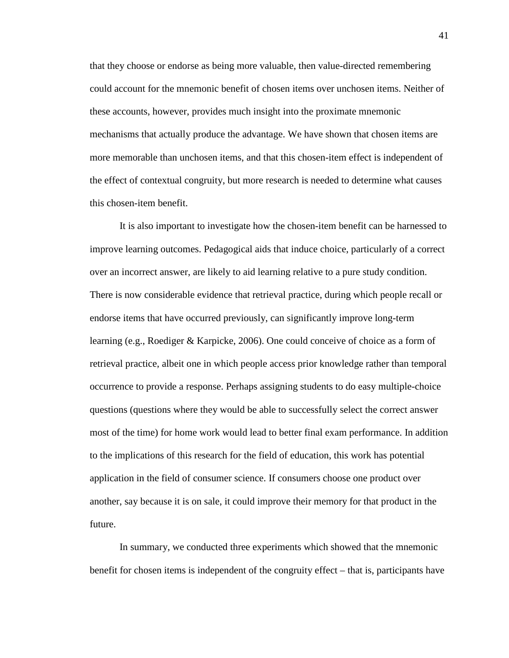that they choose or endorse as being more valuable, then value-directed remembering the effect of contextual congruity, but more research is needed to determine what causes could account for the mnemonic benefit of chosen items over unchosen items. Neither of these accounts, however, provides much insight into the proximate mnemonic mechanisms that actually produce the advantage. We have shown that chosen items are more memorable than unchosen items, and that this chosen-item effect is independent of this chosen-item benefit.

 It is also important to investigate how the chosen-item benefit can be harnessed to improve learning outcomes. Pedagogical aids that induce choice, particularly of a correct learning (e.g., Roediger & Karpicke, 2006). One could conceive of choice as a form of questions (questions where they would be able to successfully select the correct answer to the implications of this research for the field of education, this work has potential over an incorrect answer, are likely to aid learning relative to a pure study condition. There is now considerable evidence that retrieval practice, during which people recall or endorse items that have occurred previously, can significantly improve long-term retrieval practice, albeit one in which people access prior knowledge rather than temporal occurrence to provide a response. Perhaps assigning students to do easy multiple-choice most of the time) for home work would lead to better final exam performance. In addition application in the field of consumer science. If consumers choose one product over another, say because it is on sale, it could improve their memory for that product in the future.

 benefit for chosen items is independent of the congruity effect – that is, participants have In summary, we conducted three experiments which showed that the mnemonic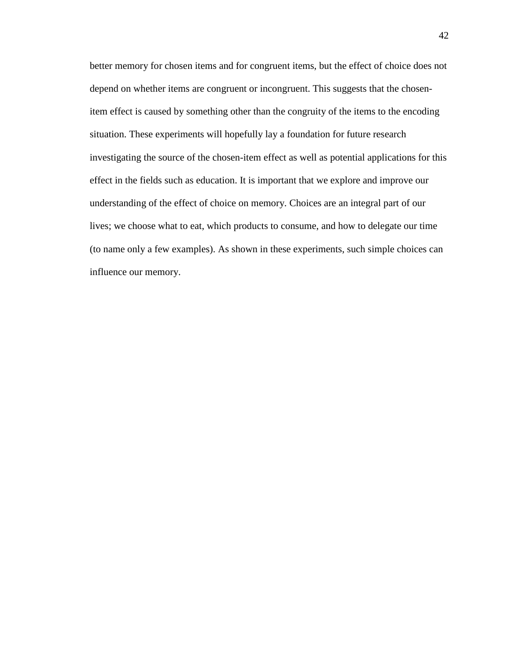situation. These experiments will hopefully lay a foundation for future research better memory for chosen items and for congruent items, but the effect of choice does not depend on whether items are congruent or incongruent. This suggests that the chosenitem effect is caused by something other than the congruity of the items to the encoding investigating the source of the chosen-item effect as well as potential applications for this effect in the fields such as education. It is important that we explore and improve our understanding of the effect of choice on memory. Choices are an integral part of our lives; we choose what to eat, which products to consume, and how to delegate our time (to name only a few examples). As shown in these experiments, such simple choices can influence our memory.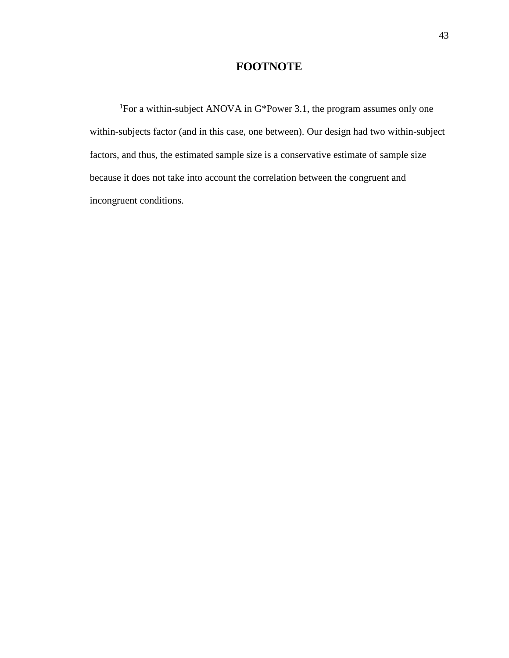### **FOOTNOTE**

<sup>1</sup>For a within-subject ANOVA in G\*Power 3.1, the program assumes only one because it does not take into account the correlation between the congruent and within-subjects factor (and in this case, one between). Our design had two within-subject factors, and thus, the estimated sample size is a conservative estimate of sample size incongruent conditions.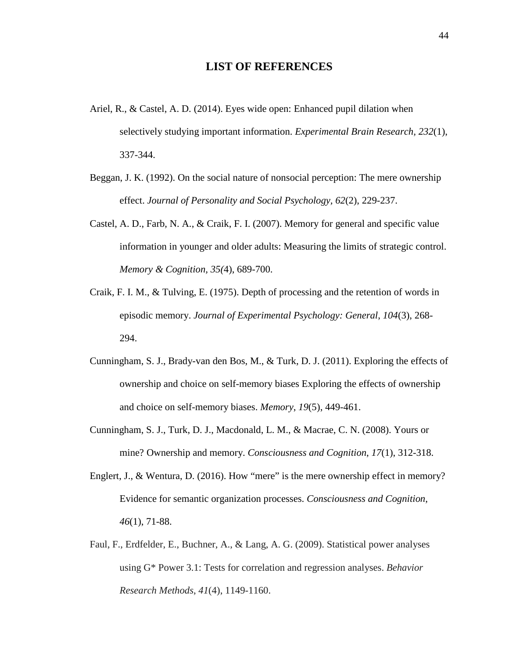#### **LIST OF REFERENCES**

- Ariel, R., & Castel, A. D. (2014). Eyes wide open: Enhanced pupil dilation when selectively studying important information. *Experimental Brain Research, 232*(1), 337-344.
- Beggan, J. K. (1992). On the social nature of nonsocial perception: The mere ownership effect. *Journal of Personality and Social Psychology, 62*(2), 229-237.
- Castel, A. D., Farb, N. A., & Craik, F. I. (2007). Memory for general and specific value  *Memory & Cognition, 35(*4), 689-700. information in younger and older adults: Measuring the limits of strategic control.
- Craik, F. I. M., & Tulving, E. (1975). Depth of processing and the retention of words in episodic memory. *Journal of Experimental Psychology: General*, *104*(3), 268- 294.
- Cunningham, S. J., Brady-van den Bos, M., & Turk, D. J. (2011). Exploring the effects of and choice on self-memory biases. Memory, 19(5), 449-461. ownership and choice on self-memory biases Exploring the effects of ownership
- Cunningham, S. J., Turk, D. J., Macdonald, L. M., & Macrae, C. N. (2008). Yours or mine? Ownership and memory. *Consciousness and Cognition*, *17*(1), 312-318.
- Englert, J., & Wentura, D. (2016). How "mere" is the mere ownership effect in memory? Evidence for semantic organization processes. *Consciousness and Cognition*, *46*(1), 71-88.
- Faul, F., Erdfelder, E., Buchner, A., & Lang, A. G. (2009). Statistical power analyses using G\* Power 3.1: Tests for correlation and regression analyses. *Behavior Research Methods*, *41*(4), 1149-1160.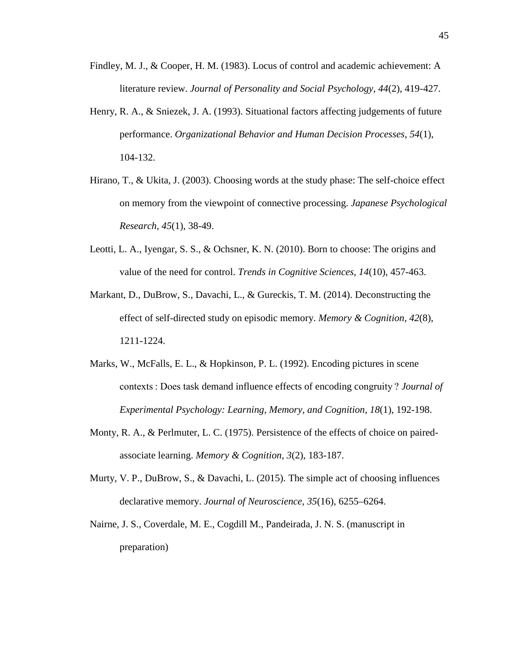- Findley, M. J., & Cooper, H. M. (1983). Locus of control and academic achievement: A literature review. *Journal of Personality and Social Psychology, 44*(2), 419-427.
- Henry, R. A., & Sniezek, J. A. (1993). Situational factors affecting judgements of future performance. *Organizational Behavior and Human Decision Processes, 54*(1), 104-132.
- Hirano, T., & Ukita, J. (2003). Choosing words at the study phase: The self-choice effect on memory from the viewpoint of connective processing. *Japanese Psychological Research*, *45*(1), 38-49.
- Leotti, L. A., Iyengar, S. S., & Ochsner, K. N. (2010). Born to choose: The origins and value of the need for control. *Trends in Cognitive Sciences*, *14*(10), 457-463.
- Markant, D., DuBrow, S., Davachi, L., & Gureckis, T. M. (2014). Deconstructing the effect of self-directed study on episodic memory. *Memory & Cognition*, *42*(8), 1211-1224.
- Marks, W., McFalls, E. L., & Hopkinson, P. L. (1992). Encoding pictures in scene contexts : Does task demand influence effects of encoding congruity ? *Journal of Experimental Psychology: Learning, Memory, and Cognition*, *18*(1), 192-198.
- Monty, R. A., & Perlmuter, L. C. (1975). Persistence of the effects of choice on pairedassociate learning. *Memory & Cognition*, *3*(2), 183-187.
- Murty, V. P., DuBrow, S., & Davachi, L. (2015). The simple act of choosing influences declarative memory. *Journal of Neuroscience*, *35*(16), 6255–6264.
- Nairne, J. S., Coverdale, M. E., Cogdill M., Pandeirada, J. N. S. (manuscript in preparation)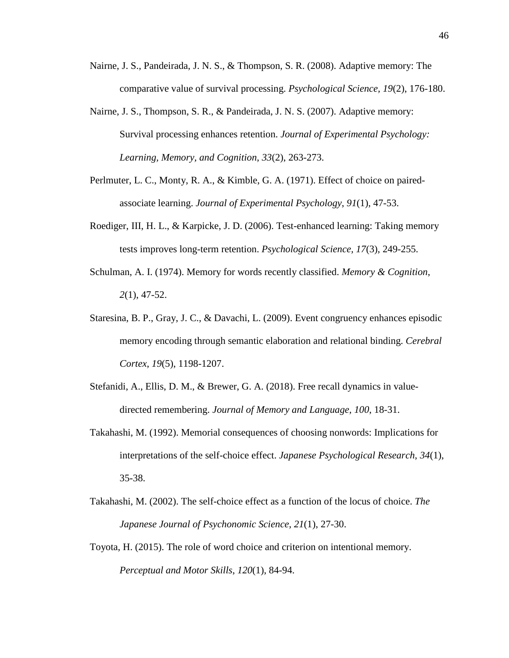- Nairne, J. S., Pandeirada, J. N. S., & Thompson, S. R. (2008). Adaptive memory: The comparative value of survival processing. *Psychological Science, 19*(2), 176-180.
- Nairne, J. S., Thompson, S. R., & Pandeirada, J. N. S. (2007). Adaptive memory: Survival processing enhances retention. *Journal of Experimental Psychology: Learning, Memory, and Cognition*, *33*(2), 263-273.
- Perlmuter, L. C., Monty, R. A., & Kimble, G. A. (1971). Effect of choice on pairedassociate learning. *Journal of Experimental Psychology*, *91*(1), 47-53.
- Roediger, III, H. L., & Karpicke, J. D. (2006). Test-enhanced learning: Taking memory tests improves long-term retention. *Psychological Science, 17*(3), 249-255.
- Schulman, A. I. (1974). Memory for words recently classified. *Memory & Cognition*, *2*(1), 47-52.
- Staresina, B. P., Gray, J. C., & Davachi, L. (2009). Event congruency enhances episodic memory encoding through semantic elaboration and relational binding. *Cerebral Cortex*, *19*(5), 1198-1207.
- Stefanidi, A., Ellis, D. M., & Brewer, G. A. (2018). Free recall dynamics in valuedirected remembering. *Journal of Memory and Language, 100*, 18-31.
- Takahashi, M. (1992). Memorial consequences of choosing nonwords: Implications for interpretations of the self-choice effect. *Japanese Psychological Research*, *34*(1), 35-38.
- Takahashi, M. (2002). The self-choice effect as a function of the locus of choice. *The Japanese Journal of Psychonomic Science*, *21*(1), 27-30.
- Toyota, H. (2015). The role of word choice and criterion on intentional memory. *Perceptual and Motor Skills*, *120*(1), 84-94.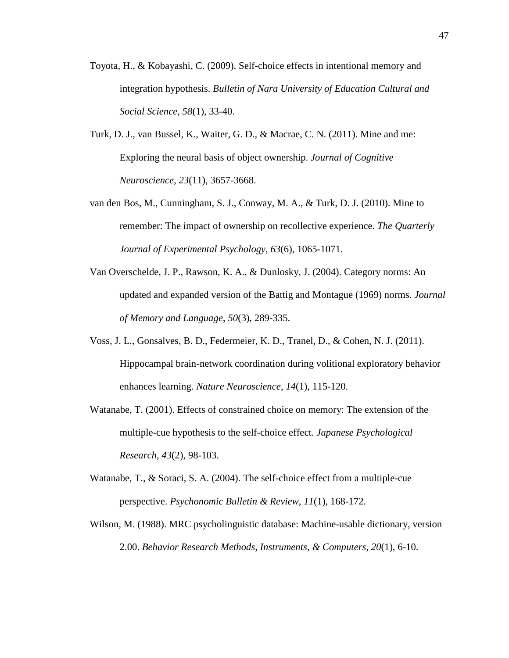- Toyota, H., & Kobayashi, C. (2009). Self-choice effects in intentional memory and integration hypothesis. *Bulletin of Nara University of Education Cultural and Social Science*, *58*(1), 33-40.
- Turk, D. J., van Bussel, K., Waiter, G. D., & Macrae, C. N. (2011). Mine and me: Exploring the neural basis of object ownership. *Journal of Cognitive Neuroscience*, *23*(11), 3657-3668.
- van den Bos, M., Cunningham, S. J., Conway, M. A., & Turk, D. J. (2010). Mine to remember: The impact of ownership on recollective experience. *The Quarterly Journal of Experimental Psychology*, *63*(6), 1065-1071.
- Van Overschelde, J. P., Rawson, K. A., & Dunlosky, J. (2004). Category norms: An updated and expanded version of the Battig and Montague (1969) norms. *Journal of Memory and Language*, *50*(3), 289-335.
- Voss, J. L., Gonsalves, B. D., Federmeier, K. D., Tranel, D., & Cohen, N. J. (2011). Hippocampal brain-network coordination during volitional exploratory behavior enhances learning. *Nature Neuroscience*, *14*(1), 115-120.
- Watanabe, T. (2001). Effects of constrained choice on memory: The extension of the multiple-cue hypothesis to the self-choice effect. *Japanese Psychological Research*, *43*(2), 98-103.
- Watanabe, T., & Soraci, S. A. (2004). The self-choice effect from a multiple-cue perspective. *Psychonomic Bulletin & Review*, *11*(1), 168-172.
- Wilson, M. (1988). MRC psycholinguistic database: Machine-usable dictionary, version 2.00. *Behavior Research Methods, Instruments, & Computers*, *20*(1), 6-10.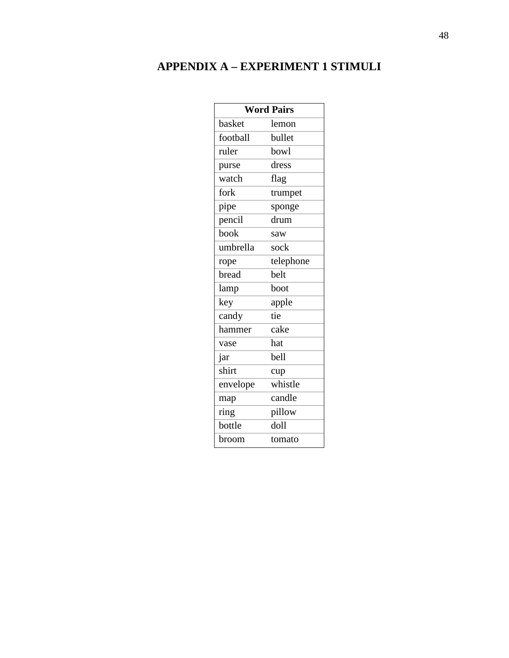## **APPENDIX A – EXPERIMENT 1 STIMULI**

| <b>Word Pairs</b> |           |  |  |  |
|-------------------|-----------|--|--|--|
| basket            | lemon     |  |  |  |
| football          | bullet    |  |  |  |
| ruler             | bowl      |  |  |  |
| purse             | dress     |  |  |  |
| watch             | flag      |  |  |  |
| fork              | trumpet   |  |  |  |
| pipe              | sponge    |  |  |  |
| pencil            | drum      |  |  |  |
| book              | saw       |  |  |  |
| umbrella          | sock      |  |  |  |
| rope              | telephone |  |  |  |
| bread             | belt      |  |  |  |
| lamp              | boot      |  |  |  |
| key               | apple     |  |  |  |
| candy             | tie       |  |  |  |
| hammer            | cake      |  |  |  |
| vase              | hat       |  |  |  |
| jar               | bell      |  |  |  |
| shirt             | cup       |  |  |  |
| envelope          | whistle   |  |  |  |
| map               | candle    |  |  |  |
| ring              | pillow    |  |  |  |
| bottle            | doll      |  |  |  |
| broom             | tomato    |  |  |  |